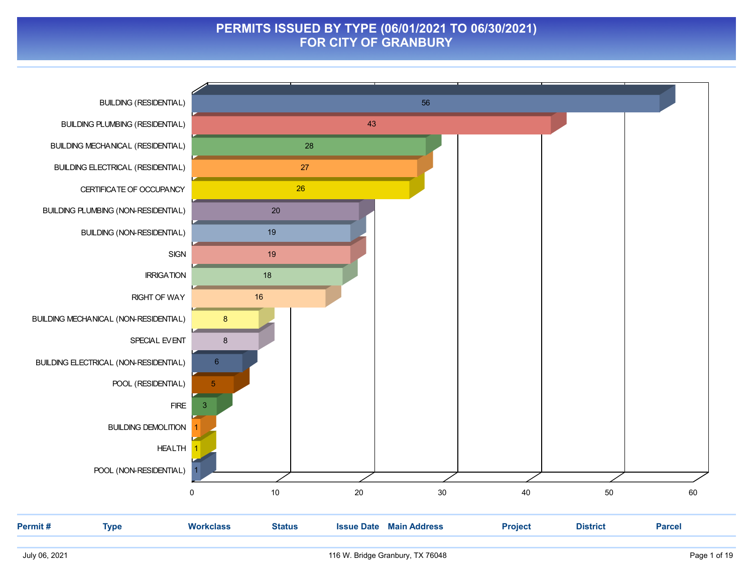#### **PERMITS ISSUED BY TYPE (06/01/2021 TO 06/30/2021) FOR CITY OF GRANBURY**

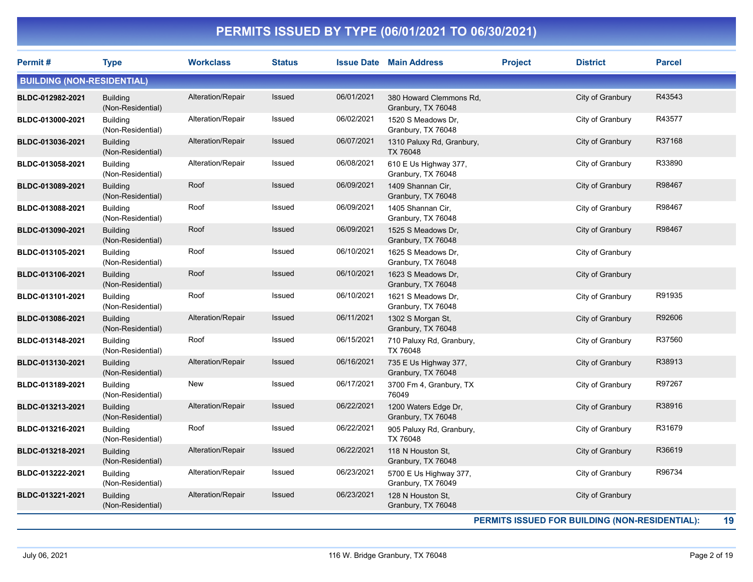| Permit#                           | <b>Type</b>                          | <b>Workclass</b>  | <b>Status</b> |            | <b>Issue Date Main Address</b>                | <b>Project</b> | <b>District</b>                                | <b>Parcel</b> |
|-----------------------------------|--------------------------------------|-------------------|---------------|------------|-----------------------------------------------|----------------|------------------------------------------------|---------------|
| <b>BUILDING (NON-RESIDENTIAL)</b> |                                      |                   |               |            |                                               |                |                                                |               |
| BLDC-012982-2021                  | <b>Building</b><br>(Non-Residential) | Alteration/Repair | Issued        | 06/01/2021 | 380 Howard Clemmons Rd,<br>Granbury, TX 76048 |                | City of Granbury                               | R43543        |
| BLDC-013000-2021                  | <b>Building</b><br>(Non-Residential) | Alteration/Repair | Issued        | 06/02/2021 | 1520 S Meadows Dr,<br>Granbury, TX 76048      |                | City of Granbury                               | R43577        |
| BLDC-013036-2021                  | <b>Building</b><br>(Non-Residential) | Alteration/Repair | Issued        | 06/07/2021 | 1310 Paluxy Rd, Granbury,<br>TX 76048         |                | City of Granbury                               | R37168        |
| BLDC-013058-2021                  | <b>Building</b><br>(Non-Residential) | Alteration/Repair | Issued        | 06/08/2021 | 610 E Us Highway 377,<br>Granbury, TX 76048   |                | City of Granbury                               | R33890        |
| BLDC-013089-2021                  | <b>Building</b><br>(Non-Residential) | Roof              | Issued        | 06/09/2021 | 1409 Shannan Cir.<br>Granbury, TX 76048       |                | City of Granbury                               | R98467        |
| BLDC-013088-2021                  | <b>Building</b><br>(Non-Residential) | Roof              | Issued        | 06/09/2021 | 1405 Shannan Cir,<br>Granbury, TX 76048       |                | City of Granbury                               | R98467        |
| BLDC-013090-2021                  | <b>Building</b><br>(Non-Residential) | Roof              | Issued        | 06/09/2021 | 1525 S Meadows Dr.<br>Granbury, TX 76048      |                | City of Granbury                               | R98467        |
| BLDC-013105-2021                  | <b>Building</b><br>(Non-Residential) | Roof              | Issued        | 06/10/2021 | 1625 S Meadows Dr,<br>Granbury, TX 76048      |                | City of Granbury                               |               |
| BLDC-013106-2021                  | <b>Building</b><br>(Non-Residential) | Roof              | Issued        | 06/10/2021 | 1623 S Meadows Dr,<br>Granbury, TX 76048      |                | City of Granbury                               |               |
| BLDC-013101-2021                  | <b>Building</b><br>(Non-Residential) | Roof              | Issued        | 06/10/2021 | 1621 S Meadows Dr,<br>Granbury, TX 76048      |                | City of Granbury                               | R91935        |
| BLDC-013086-2021                  | <b>Building</b><br>(Non-Residential) | Alteration/Repair | Issued        | 06/11/2021 | 1302 S Morgan St,<br>Granbury, TX 76048       |                | City of Granbury                               | R92606        |
| BLDC-013148-2021                  | <b>Building</b><br>(Non-Residential) | Roof              | Issued        | 06/15/2021 | 710 Paluxy Rd, Granbury,<br>TX 76048          |                | City of Granbury                               | R37560        |
| BLDC-013130-2021                  | <b>Building</b><br>(Non-Residential) | Alteration/Repair | Issued        | 06/16/2021 | 735 E Us Highway 377,<br>Granbury, TX 76048   |                | City of Granbury                               | R38913        |
| BLDC-013189-2021                  | <b>Building</b><br>(Non-Residential) | New               | Issued        | 06/17/2021 | 3700 Fm 4, Granbury, TX<br>76049              |                | City of Granbury                               | R97267        |
| BLDC-013213-2021                  | <b>Building</b><br>(Non-Residential) | Alteration/Repair | Issued        | 06/22/2021 | 1200 Waters Edge Dr,<br>Granbury, TX 76048    |                | City of Granbury                               | R38916        |
| BLDC-013216-2021                  | <b>Building</b><br>(Non-Residential) | Roof              | Issued        | 06/22/2021 | 905 Paluxy Rd, Granbury,<br>TX 76048          |                | City of Granbury                               | R31679        |
| BLDC-013218-2021                  | <b>Building</b><br>(Non-Residential) | Alteration/Repair | Issued        | 06/22/2021 | 118 N Houston St,<br>Granbury, TX 76048       |                | City of Granbury                               | R36619        |
| BLDC-013222-2021                  | <b>Building</b><br>(Non-Residential) | Alteration/Repair | Issued        | 06/23/2021 | 5700 E Us Highway 377,<br>Granbury, TX 76049  |                | City of Granbury                               | R96734        |
| BLDC-013221-2021                  | <b>Building</b><br>(Non-Residential) | Alteration/Repair | Issued        | 06/23/2021 | 128 N Houston St.<br>Granbury, TX 76048       |                | City of Granbury                               |               |
|                                   |                                      |                   |               |            |                                               |                | PERMITS ISSUED FOR BUILDING (NON-RESIDENTIAL): | 19            |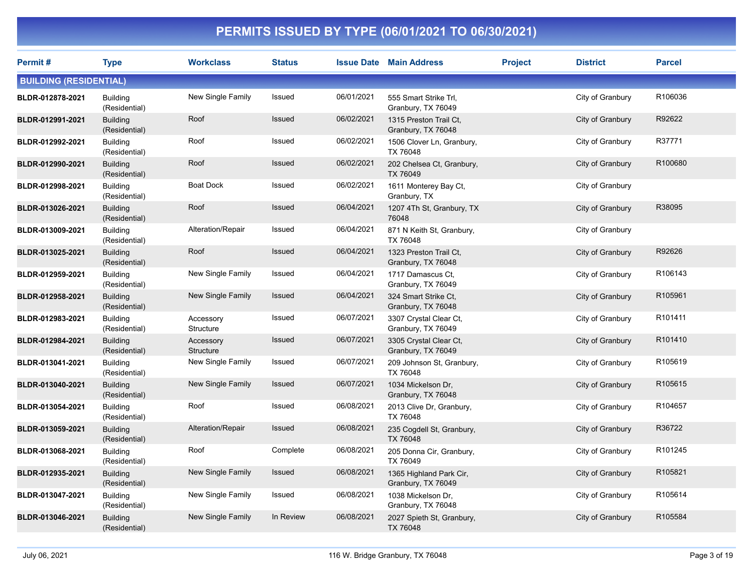| Permit#                       | <b>Type</b>                      | <b>Workclass</b>         | <b>Status</b> |            | <b>Issue Date Main Address</b>                | <b>Project</b> | <b>District</b>  | <b>Parcel</b> |
|-------------------------------|----------------------------------|--------------------------|---------------|------------|-----------------------------------------------|----------------|------------------|---------------|
| <b>BUILDING (RESIDENTIAL)</b> |                                  |                          |               |            |                                               |                |                  |               |
| BLDR-012878-2021              | <b>Building</b><br>(Residential) | New Single Family        | Issued        | 06/01/2021 | 555 Smart Strike Trl,<br>Granbury, TX 76049   |                | City of Granbury | R106036       |
| BLDR-012991-2021              | <b>Building</b><br>(Residential) | Roof                     | Issued        | 06/02/2021 | 1315 Preston Trail Ct,<br>Granbury, TX 76048  |                | City of Granbury | R92622        |
| BLDR-012992-2021              | <b>Building</b><br>(Residential) | Roof                     | Issued        | 06/02/2021 | 1506 Clover Ln, Granbury,<br>TX 76048         |                | City of Granbury | R37771        |
| BLDR-012990-2021              | <b>Building</b><br>(Residential) | Roof                     | Issued        | 06/02/2021 | 202 Chelsea Ct, Granbury,<br>TX 76049         |                | City of Granbury | R100680       |
| BLDR-012998-2021              | <b>Building</b><br>(Residential) | Boat Dock                | Issued        | 06/02/2021 | 1611 Monterey Bay Ct,<br>Granbury, TX         |                | City of Granbury |               |
| BLDR-013026-2021              | <b>Building</b><br>(Residential) | Roof                     | Issued        | 06/04/2021 | 1207 4Th St, Granbury, TX<br>76048            |                | City of Granbury | R38095        |
| BLDR-013009-2021              | <b>Building</b><br>(Residential) | Alteration/Repair        | Issued        | 06/04/2021 | 871 N Keith St, Granbury,<br>TX 76048         |                | City of Granbury |               |
| BLDR-013025-2021              | <b>Building</b><br>(Residential) | Roof                     | Issued        | 06/04/2021 | 1323 Preston Trail Ct,<br>Granbury, TX 76048  |                | City of Granbury | R92626        |
| BLDR-012959-2021              | <b>Building</b><br>(Residential) | New Single Family        | Issued        | 06/04/2021 | 1717 Damascus Ct.<br>Granbury, TX 76049       |                | City of Granbury | R106143       |
| BLDR-012958-2021              | <b>Building</b><br>(Residential) | New Single Family        | Issued        | 06/04/2021 | 324 Smart Strike Ct.<br>Granbury, TX 76048    |                | City of Granbury | R105961       |
| BLDR-012983-2021              | <b>Building</b><br>(Residential) | Accessory<br>Structure   | Issued        | 06/07/2021 | 3307 Crystal Clear Ct,<br>Granbury, TX 76049  |                | City of Granbury | R101411       |
| BLDR-012984-2021              | <b>Building</b><br>(Residential) | Accessory<br>Structure   | Issued        | 06/07/2021 | 3305 Crystal Clear Ct,<br>Granbury, TX 76049  |                | City of Granbury | R101410       |
| BLDR-013041-2021              | <b>Building</b><br>(Residential) | New Single Family        | Issued        | 06/07/2021 | 209 Johnson St, Granbury,<br>TX 76048         |                | City of Granbury | R105619       |
| BLDR-013040-2021              | <b>Building</b><br>(Residential) | <b>New Single Family</b> | Issued        | 06/07/2021 | 1034 Mickelson Dr,<br>Granbury, TX 76048      |                | City of Granbury | R105615       |
| BLDR-013054-2021              | <b>Building</b><br>(Residential) | Roof                     | Issued        | 06/08/2021 | 2013 Clive Dr, Granbury,<br>TX 76048          |                | City of Granbury | R104657       |
| BLDR-013059-2021              | <b>Building</b><br>(Residential) | Alteration/Repair        | Issued        | 06/08/2021 | 235 Cogdell St, Granbury,<br>TX 76048         |                | City of Granbury | R36722        |
| BLDR-013068-2021              | <b>Building</b><br>(Residential) | Roof                     | Complete      | 06/08/2021 | 205 Donna Cir, Granbury,<br>TX 76049          |                | City of Granbury | R101245       |
| BLDR-012935-2021              | <b>Building</b><br>(Residential) | New Single Family        | <b>Issued</b> | 06/08/2021 | 1365 Highland Park Cir,<br>Granbury, TX 76049 |                | City of Granbury | R105821       |
| BLDR-013047-2021              | <b>Building</b><br>(Residential) | New Single Family        | Issued        | 06/08/2021 | 1038 Mickelson Dr,<br>Granbury, TX 76048      |                | City of Granbury | R105614       |
| BLDR-013046-2021              | <b>Building</b><br>(Residential) | <b>New Single Family</b> | In Review     | 06/08/2021 | 2027 Spieth St, Granbury,<br>TX 76048         |                | City of Granbury | R105584       |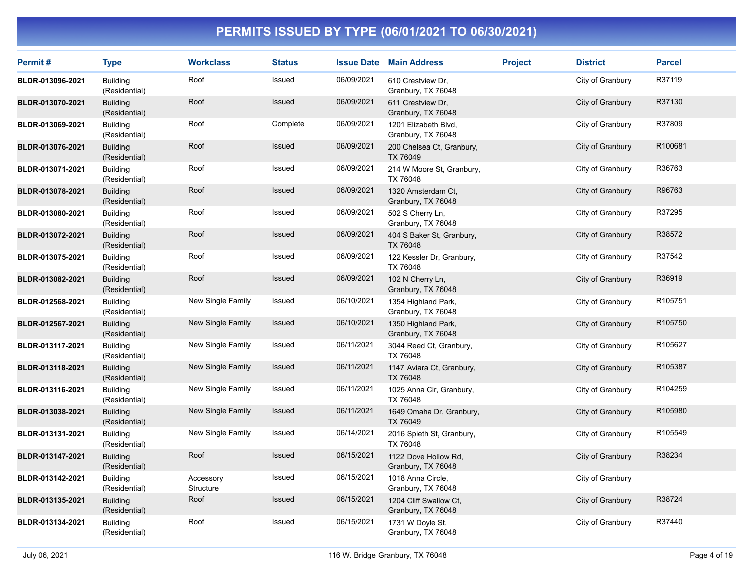| Permit#          | <b>Type</b>                      | <b>Workclass</b>       | <b>Status</b> |            | <b>Issue Date Main Address</b>               | <b>Project</b> | <b>District</b>  | <b>Parcel</b> |
|------------------|----------------------------------|------------------------|---------------|------------|----------------------------------------------|----------------|------------------|---------------|
| BLDR-013096-2021 | <b>Building</b><br>(Residential) | Roof                   | Issued        | 06/09/2021 | 610 Crestview Dr,<br>Granbury, TX 76048      |                | City of Granbury | R37119        |
| BLDR-013070-2021 | <b>Building</b><br>(Residential) | Roof                   | Issued        | 06/09/2021 | 611 Crestview Dr.<br>Granbury, TX 76048      |                | City of Granbury | R37130        |
| BLDR-013069-2021 | <b>Building</b><br>(Residential) | Roof                   | Complete      | 06/09/2021 | 1201 Elizabeth Blvd,<br>Granbury, TX 76048   |                | City of Granbury | R37809        |
| BLDR-013076-2021 | <b>Building</b><br>(Residential) | Roof                   | Issued        | 06/09/2021 | 200 Chelsea Ct, Granbury,<br>TX 76049        |                | City of Granbury | R100681       |
| BLDR-013071-2021 | <b>Building</b><br>(Residential) | Roof                   | Issued        | 06/09/2021 | 214 W Moore St, Granbury,<br>TX 76048        |                | City of Granbury | R36763        |
| BLDR-013078-2021 | <b>Building</b><br>(Residential) | Roof                   | Issued        | 06/09/2021 | 1320 Amsterdam Ct,<br>Granbury, TX 76048     |                | City of Granbury | R96763        |
| BLDR-013080-2021 | <b>Building</b><br>(Residential) | Roof                   | Issued        | 06/09/2021 | 502 S Cherry Ln,<br>Granbury, TX 76048       |                | City of Granbury | R37295        |
| BLDR-013072-2021 | <b>Building</b><br>(Residential) | Roof                   | Issued        | 06/09/2021 | 404 S Baker St, Granbury,<br>TX 76048        |                | City of Granbury | R38572        |
| BLDR-013075-2021 | <b>Building</b><br>(Residential) | Roof                   | Issued        | 06/09/2021 | 122 Kessler Dr, Granbury,<br>TX 76048        |                | City of Granbury | R37542        |
| BLDR-013082-2021 | <b>Building</b><br>(Residential) | Roof                   | Issued        | 06/09/2021 | 102 N Cherry Ln,<br>Granbury, TX 76048       |                | City of Granbury | R36919        |
| BLDR-012568-2021 | <b>Building</b><br>(Residential) | New Single Family      | Issued        | 06/10/2021 | 1354 Highland Park,<br>Granbury, TX 76048    |                | City of Granbury | R105751       |
| BLDR-012567-2021 | <b>Building</b><br>(Residential) | New Single Family      | Issued        | 06/10/2021 | 1350 Highland Park,<br>Granbury, TX 76048    |                | City of Granbury | R105750       |
| BLDR-013117-2021 | <b>Building</b><br>(Residential) | New Single Family      | Issued        | 06/11/2021 | 3044 Reed Ct, Granbury,<br>TX 76048          |                | City of Granbury | R105627       |
| BLDR-013118-2021 | <b>Building</b><br>(Residential) | New Single Family      | Issued        | 06/11/2021 | 1147 Aviara Ct, Granbury,<br>TX 76048        |                | City of Granbury | R105387       |
| BLDR-013116-2021 | <b>Building</b><br>(Residential) | New Single Family      | Issued        | 06/11/2021 | 1025 Anna Cir, Granbury,<br>TX 76048         |                | City of Granbury | R104259       |
| BLDR-013038-2021 | <b>Building</b><br>(Residential) | New Single Family      | Issued        | 06/11/2021 | 1649 Omaha Dr, Granbury,<br>TX 76049         |                | City of Granbury | R105980       |
| BLDR-013131-2021 | <b>Building</b><br>(Residential) | New Single Family      | Issued        | 06/14/2021 | 2016 Spieth St, Granbury,<br>TX 76048        |                | City of Granbury | R105549       |
| BLDR-013147-2021 | <b>Building</b><br>(Residential) | Roof                   | Issued        | 06/15/2021 | 1122 Dove Hollow Rd,<br>Granbury, TX 76048   |                | City of Granbury | R38234        |
| BLDR-013142-2021 | <b>Building</b><br>(Residential) | Accessory<br>Structure | Issued        | 06/15/2021 | 1018 Anna Circle,<br>Granbury, TX 76048      |                | City of Granbury |               |
| BLDR-013135-2021 | <b>Building</b><br>(Residential) | Roof                   | Issued        | 06/15/2021 | 1204 Cliff Swallow Ct,<br>Granbury, TX 76048 |                | City of Granbury | R38724        |
| BLDR-013134-2021 | <b>Building</b><br>(Residential) | Roof                   | Issued        | 06/15/2021 | 1731 W Doyle St,<br>Granbury, TX 76048       |                | City of Granbury | R37440        |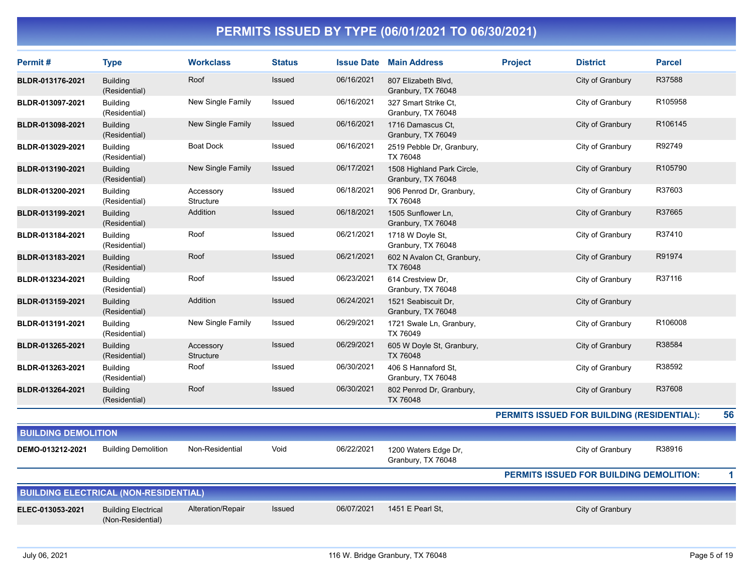| Permit#                    | <b>Type</b>                                     | <b>Workclass</b>       | <b>Status</b> |            | <b>Issue Date Main Address</b>                   | <b>Project</b> | <b>District</b>                            | <b>Parcel</b> |
|----------------------------|-------------------------------------------------|------------------------|---------------|------------|--------------------------------------------------|----------------|--------------------------------------------|---------------|
| BLDR-013176-2021           | <b>Building</b><br>(Residential)                | Roof                   | Issued        | 06/16/2021 | 807 Elizabeth Blvd,<br>Granbury, TX 76048        |                | City of Granbury                           | R37588        |
| BLDR-013097-2021           | <b>Building</b><br>(Residential)                | New Single Family      | Issued        | 06/16/2021 | 327 Smart Strike Ct.<br>Granbury, TX 76048       |                | City of Granbury                           | R105958       |
| BLDR-013098-2021           | <b>Building</b><br>(Residential)                | New Single Family      | Issued        | 06/16/2021 | 1716 Damascus Ct.<br>Granbury, TX 76049          |                | City of Granbury                           | R106145       |
| BLDR-013029-2021           | <b>Building</b><br>(Residential)                | <b>Boat Dock</b>       | Issued        | 06/16/2021 | 2519 Pebble Dr, Granbury,<br>TX 76048            |                | City of Granbury                           | R92749        |
| BLDR-013190-2021           | <b>Building</b><br>(Residential)                | New Single Family      | Issued        | 06/17/2021 | 1508 Highland Park Circle,<br>Granbury, TX 76048 |                | City of Granbury                           | R105790       |
| BLDR-013200-2021           | <b>Building</b><br>(Residential)                | Accessory<br>Structure | Issued        | 06/18/2021 | 906 Penrod Dr, Granbury,<br>TX 76048             |                | City of Granbury                           | R37603        |
| BLDR-013199-2021           | <b>Building</b><br>(Residential)                | Addition               | Issued        | 06/18/2021 | 1505 Sunflower Ln,<br>Granbury, TX 76048         |                | City of Granbury                           | R37665        |
| BLDR-013184-2021           | <b>Building</b><br>(Residential)                | Roof                   | Issued        | 06/21/2021 | 1718 W Doyle St,<br>Granbury, TX 76048           |                | City of Granbury                           | R37410        |
| BLDR-013183-2021           | <b>Building</b><br>(Residential)                | Roof                   | Issued        | 06/21/2021 | 602 N Avalon Ct, Granbury,<br>TX 76048           |                | City of Granbury                           | R91974        |
| BLDR-013234-2021           | <b>Building</b><br>(Residential)                | Roof                   | Issued        | 06/23/2021 | 614 Crestview Dr.<br>Granbury, TX 76048          |                | City of Granbury                           | R37116        |
| BLDR-013159-2021           | <b>Building</b><br>(Residential)                | Addition               | Issued        | 06/24/2021 | 1521 Seabiscuit Dr,<br>Granbury, TX 76048        |                | City of Granbury                           |               |
| BLDR-013191-2021           | <b>Building</b><br>(Residential)                | New Single Family      | Issued        | 06/29/2021 | 1721 Swale Ln, Granbury,<br>TX 76049             |                | City of Granbury                           | R106008       |
| BLDR-013265-2021           | <b>Building</b><br>(Residential)                | Accessory<br>Structure | <b>Issued</b> | 06/29/2021 | 605 W Doyle St, Granbury,<br>TX 76048            |                | City of Granbury                           | R38584        |
| BLDR-013263-2021           | <b>Building</b><br>(Residential)                | Roof                   | Issued        | 06/30/2021 | 406 S Hannaford St,<br>Granbury, TX 76048        |                | City of Granbury                           | R38592        |
| BLDR-013264-2021           | <b>Building</b><br>(Residential)                | Roof                   | Issued        | 06/30/2021 | 802 Penrod Dr, Granbury,<br>TX 76048             |                | City of Granbury                           | R37608        |
|                            |                                                 |                        |               |            |                                                  |                | PERMITS ISSUED FOR BUILDING (RESIDENTIAL): | 56            |
| <b>BUILDING DEMOLITION</b> |                                                 |                        |               |            |                                                  |                |                                            |               |
| DEMO-013212-2021           | <b>Building Demolition</b>                      | Non-Residential        | Void          | 06/22/2021 | 1200 Waters Edge Dr,<br>Granbury, TX 76048       |                | City of Granbury                           | R38916        |
|                            |                                                 |                        |               |            |                                                  |                | PERMITS ISSUED FOR BUILDING DEMOLITION:    | 1             |
|                            | <b>BUILDING ELECTRICAL (NON-RESIDENTIAL)</b>    |                        |               |            |                                                  |                |                                            |               |
| ELEC-013053-2021           | <b>Building Electrical</b><br>(Non-Residential) | Alteration/Repair      | Issued        | 06/07/2021 | 1451 E Pearl St,                                 |                | City of Granbury                           |               |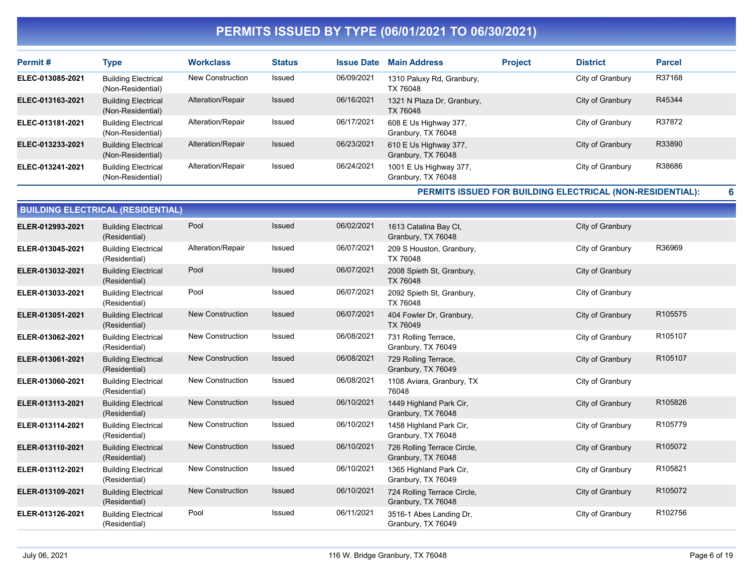| Permit#          | Type                                            | <b>Workclass</b>  | <b>Status</b> | <b>Issue Date</b> | <b>Main Address</b>                          | <b>Project</b> | <b>District</b>  | <b>Parcel</b> |
|------------------|-------------------------------------------------|-------------------|---------------|-------------------|----------------------------------------------|----------------|------------------|---------------|
| ELEC-013085-2021 | <b>Building Electrical</b><br>(Non-Residential) | New Construction  | Issued        | 06/09/2021        | 1310 Paluxy Rd, Granbury,<br>TX 76048        |                | City of Granbury | R37168        |
| ELEC-013163-2021 | <b>Building Electrical</b><br>(Non-Residential) | Alteration/Repair | Issued        | 06/16/2021        | 1321 N Plaza Dr, Granbury,<br>TX 76048       |                | City of Granbury | R45344        |
| ELEC-013181-2021 | <b>Building Electrical</b><br>(Non-Residential) | Alteration/Repair | Issued        | 06/17/2021        | 608 E Us Highway 377,<br>Granbury, TX 76048  |                | City of Granbury | R37872        |
| ELEC-013233-2021 | <b>Building Electrical</b><br>(Non-Residential) | Alteration/Repair | <b>Issued</b> | 06/23/2021        | 610 E Us Highway 377,<br>Granbury, TX 76048  |                | City of Granbury | R33890        |
| ELEC-013241-2021 | <b>Building Electrical</b><br>(Non-Residential) | Alteration/Repair | Issued        | 06/24/2021        | 1001 E Us Highway 377,<br>Granbury, TX 76048 |                | City of Granbury | R38686        |

**PERMITS ISSUED FOR BUILDING ELECTRICAL (NON-RESIDENTIAL):**

| <b>BUILDING ELECTRICAL (RESIDENTIAL)</b> |                                             |                         |               |            |                                                   |                  |         |  |  |  |
|------------------------------------------|---------------------------------------------|-------------------------|---------------|------------|---------------------------------------------------|------------------|---------|--|--|--|
| ELER-012993-2021                         | <b>Building Electrical</b><br>(Residential) | Pool                    | <b>Issued</b> | 06/02/2021 | 1613 Catalina Bay Ct,<br>Granbury, TX 76048       | City of Granbury |         |  |  |  |
| ELER-013045-2021                         | <b>Building Electrical</b><br>(Residential) | Alteration/Repair       | Issued        | 06/07/2021 | 209 S Houston, Granbury,<br>TX 76048              | City of Granbury | R36969  |  |  |  |
| ELER-013032-2021                         | <b>Building Electrical</b><br>(Residential) | Pool                    | Issued        | 06/07/2021 | 2008 Spieth St, Granbury,<br>TX 76048             | City of Granbury |         |  |  |  |
| ELER-013033-2021                         | <b>Building Electrical</b><br>(Residential) | Pool                    | Issued        | 06/07/2021 | 2092 Spieth St, Granbury,<br>TX 76048             | City of Granbury |         |  |  |  |
| ELER-013051-2021                         | <b>Building Electrical</b><br>(Residential) | New Construction        | Issued        | 06/07/2021 | 404 Fowler Dr, Granbury,<br>TX 76049              | City of Granbury | R105575 |  |  |  |
| ELER-013062-2021                         | <b>Building Electrical</b><br>(Residential) | <b>New Construction</b> | Issued        | 06/08/2021 | 731 Rolling Terrace,<br>Granbury, TX 76049        | City of Granbury | R105107 |  |  |  |
| ELER-013061-2021                         | <b>Building Electrical</b><br>(Residential) | <b>New Construction</b> | <b>Issued</b> | 06/08/2021 | 729 Rolling Terrace,<br>Granbury, TX 76049        | City of Granbury | R105107 |  |  |  |
| ELER-013060-2021                         | <b>Building Electrical</b><br>(Residential) | <b>New Construction</b> | Issued        | 06/08/2021 | 1108 Aviara, Granbury, TX<br>76048                | City of Granbury |         |  |  |  |
| ELER-013113-2021                         | <b>Building Electrical</b><br>(Residential) | <b>New Construction</b> | Issued        | 06/10/2021 | 1449 Highland Park Cir,<br>Granbury, TX 76048     | City of Granbury | R105826 |  |  |  |
| ELER-013114-2021                         | <b>Building Electrical</b><br>(Residential) | <b>New Construction</b> | Issued        | 06/10/2021 | 1458 Highland Park Cir,<br>Granbury, TX 76048     | City of Granbury | R105779 |  |  |  |
| ELER-013110-2021                         | <b>Building Electrical</b><br>(Residential) | <b>New Construction</b> | Issued        | 06/10/2021 | 726 Rolling Terrace Circle,<br>Granbury, TX 76048 | City of Granbury | R105072 |  |  |  |
| ELER-013112-2021                         | <b>Building Electrical</b><br>(Residential) | <b>New Construction</b> | Issued        | 06/10/2021 | 1365 Highland Park Cir,<br>Granbury, TX 76049     | City of Granbury | R105821 |  |  |  |
| ELER-013109-2021                         | <b>Building Electrical</b><br>(Residential) | <b>New Construction</b> | Issued        | 06/10/2021 | 724 Rolling Terrace Circle,<br>Granbury, TX 76048 | City of Granbury | R105072 |  |  |  |
| ELER-013126-2021                         | <b>Building Electrical</b><br>(Residential) | Pool                    | Issued        | 06/11/2021 | 3516-1 Abes Landing Dr.<br>Granbury, TX 76049     | City of Granbury | R102756 |  |  |  |

**6**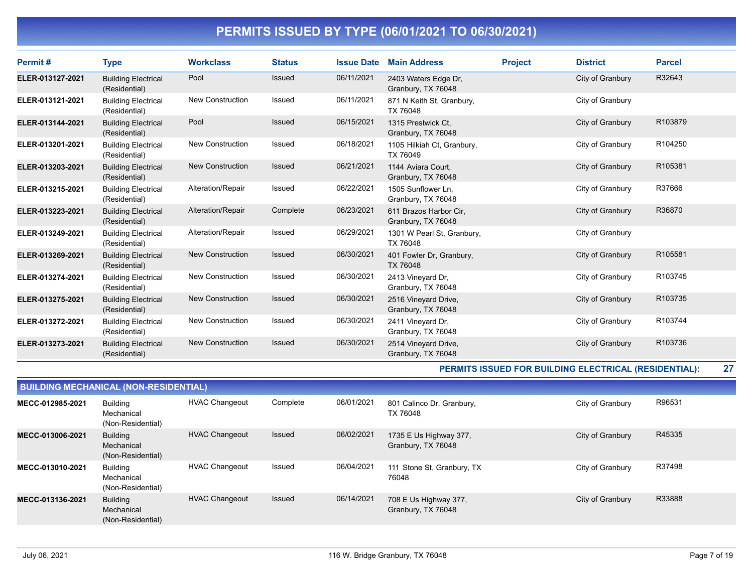| Permit#          | <b>Type</b>                                 | <b>Workclass</b>        | <b>Status</b> | <b>Issue Date</b> | <b>Main Address</b>                          | <b>Project</b> | <b>District</b>  | <b>Parcel</b> |
|------------------|---------------------------------------------|-------------------------|---------------|-------------------|----------------------------------------------|----------------|------------------|---------------|
| ELER-013127-2021 | <b>Building Electrical</b><br>(Residential) | Pool                    | <b>Issued</b> | 06/11/2021        | 2403 Waters Edge Dr,<br>Granbury, TX 76048   |                | City of Granbury | R32643        |
| ELER-013121-2021 | <b>Building Electrical</b><br>(Residential) | <b>New Construction</b> | <b>Issued</b> | 06/11/2021        | 871 N Keith St, Granbury,<br>TX 76048        |                | City of Granbury |               |
| ELER-013144-2021 | <b>Building Electrical</b><br>(Residential) | Pool                    | <b>Issued</b> | 06/15/2021        | 1315 Prestwick Ct.<br>Granbury, TX 76048     |                | City of Granbury | R103879       |
| ELER-013201-2021 | <b>Building Electrical</b><br>(Residential) | <b>New Construction</b> | Issued        | 06/18/2021        | 1105 Hilkiah Ct, Granbury,<br>TX 76049       |                | City of Granbury | R104250       |
| ELER-013203-2021 | <b>Building Electrical</b><br>(Residential) | <b>New Construction</b> | <b>Issued</b> | 06/21/2021        | 1144 Aviara Court,<br>Granbury, TX 76048     |                | City of Granbury | R105381       |
| ELER-013215-2021 | <b>Building Electrical</b><br>(Residential) | Alteration/Repair       | Issued        | 06/22/2021        | 1505 Sunflower Ln,<br>Granbury, TX 76048     |                | City of Granbury | R37666        |
| ELER-013223-2021 | <b>Building Electrical</b><br>(Residential) | Alteration/Repair       | Complete      | 06/23/2021        | 611 Brazos Harbor Cir,<br>Granbury, TX 76048 |                | City of Granbury | R36870        |
| ELER-013249-2021 | <b>Building Electrical</b><br>(Residential) | Alteration/Repair       | Issued        | 06/29/2021        | 1301 W Pearl St, Granbury,<br>TX 76048       |                | City of Granbury |               |
| ELER-013269-2021 | <b>Building Electrical</b><br>(Residential) | <b>New Construction</b> | <b>Issued</b> | 06/30/2021        | 401 Fowler Dr, Granbury,<br>TX 76048         |                | City of Granbury | R105581       |
| ELER-013274-2021 | <b>Building Electrical</b><br>(Residential) | <b>New Construction</b> | <b>Issued</b> | 06/30/2021        | 2413 Vineyard Dr,<br>Granbury, TX 76048      |                | City of Granbury | R103745       |
| ELER-013275-2021 | <b>Building Electrical</b><br>(Residential) | <b>New Construction</b> | Issued        | 06/30/2021        | 2516 Vineyard Drive,<br>Granbury, TX 76048   |                | City of Granbury | R103735       |
| ELER-013272-2021 | <b>Building Electrical</b><br>(Residential) | <b>New Construction</b> | Issued        | 06/30/2021        | 2411 Vineyard Dr,<br>Granbury, TX 76048      |                | City of Granbury | R103744       |
| ELER-013273-2021 | <b>Building Electrical</b><br>(Residential) | <b>New Construction</b> | <b>Issued</b> | 06/30/2021        | 2514 Vineyard Drive,<br>Granbury, TX 76048   |                | City of Granbury | R103736       |

**PERMITS ISSUED FOR BUILDING ELECTRICAL (RESIDENTIAL): 27**

| <b>BUILDING MECHANICAL (NON-RESIDENTIAL)</b> |                                                    |                       |          |            |                                              |                  |        |  |  |  |
|----------------------------------------------|----------------------------------------------------|-----------------------|----------|------------|----------------------------------------------|------------------|--------|--|--|--|
| MECC-012985-2021                             | <b>Building</b><br>Mechanical<br>(Non-Residential) | <b>HVAC Changeout</b> | Complete | 06/01/2021 | 801 Calinco Dr, Granbury,<br>TX 76048        | City of Granbury | R96531 |  |  |  |
| MECC-013006-2021                             | <b>Building</b><br>Mechanical<br>(Non-Residential) | <b>HVAC Changeout</b> | Issued   | 06/02/2021 | 1735 E Us Highway 377,<br>Granbury, TX 76048 | City of Granbury | R45335 |  |  |  |
| MECC-013010-2021                             | <b>Building</b><br>Mechanical<br>(Non-Residential) | <b>HVAC Changeout</b> | Issued   | 06/04/2021 | 111 Stone St, Granbury, TX<br>76048          | City of Granbury | R37498 |  |  |  |
| MECC-013136-2021                             | <b>Building</b><br>Mechanical<br>(Non-Residential) | <b>HVAC Changeout</b> | Issued   | 06/14/2021 | 708 E Us Highway 377,<br>Granbury, TX 76048  | City of Granbury | R33888 |  |  |  |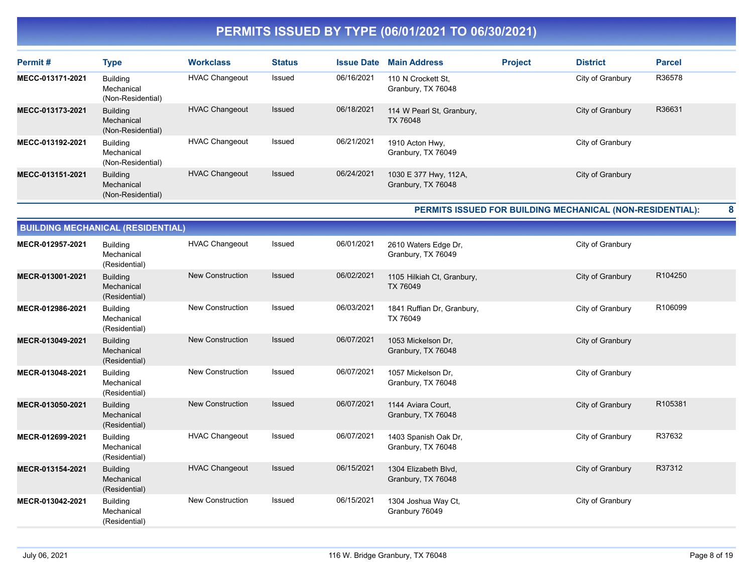| Permit#          | <b>Type</b>                                        | <b>Workclass</b>      | <b>Status</b> | <b>Issue Date</b> | <b>Main Address</b>                         | <b>Project</b> | <b>District</b>  | <b>Parcel</b> |
|------------------|----------------------------------------------------|-----------------------|---------------|-------------------|---------------------------------------------|----------------|------------------|---------------|
| MECC-013171-2021 | Building<br>Mechanical<br>(Non-Residential)        | <b>HVAC Changeout</b> | Issued        | 06/16/2021        | 110 N Crockett St.<br>Granbury, TX 76048    |                | City of Granbury | R36578        |
| MECC-013173-2021 | <b>Building</b><br>Mechanical<br>(Non-Residential) | <b>HVAC Changeout</b> | Issued        | 06/18/2021        | 114 W Pearl St, Granbury,<br>TX 76048       |                | City of Granbury | R36631        |
| MECC-013192-2021 | Building<br>Mechanical<br>(Non-Residential)        | <b>HVAC Changeout</b> | Issued        | 06/21/2021        | 1910 Acton Hwy,<br>Granbury, TX 76049       |                | City of Granbury |               |
| MECC-013151-2021 | <b>Building</b><br>Mechanical<br>(Non-Residential) | <b>HVAC Changeout</b> | Issued        | 06/24/2021        | 1030 E 377 Hwy, 112A,<br>Granbury, TX 76048 |                | City of Granbury |               |

**PERMITS ISSUED FOR BUILDING MECHANICAL (NON-RESIDENTIAL): 8**

|                  | <b>BUILDING MEGHANIGAL (RESIDENTIAL)</b>       |                         |               |            |                                            |                  |         |
|------------------|------------------------------------------------|-------------------------|---------------|------------|--------------------------------------------|------------------|---------|
| MECR-012957-2021 | <b>Building</b><br>Mechanical<br>(Residential) | <b>HVAC Changeout</b>   | Issued        | 06/01/2021 | 2610 Waters Edge Dr,<br>Granbury, TX 76049 | City of Granbury |         |
| MECR-013001-2021 | <b>Building</b><br>Mechanical<br>(Residential) | <b>New Construction</b> | <b>Issued</b> | 06/02/2021 | 1105 Hilkiah Ct, Granbury,<br>TX 76049     | City of Granbury | R104250 |
| MECR-012986-2021 | <b>Building</b><br>Mechanical<br>(Residential) | New Construction        | Issued        | 06/03/2021 | 1841 Ruffian Dr, Granbury,<br>TX 76049     | City of Granbury | R106099 |
| MECR-013049-2021 | <b>Building</b><br>Mechanical<br>(Residential) | <b>New Construction</b> | <b>Issued</b> | 06/07/2021 | 1053 Mickelson Dr.<br>Granbury, TX 76048   | City of Granbury |         |
| MECR-013048-2021 | <b>Building</b><br>Mechanical<br>(Residential) | New Construction        | Issued        | 06/07/2021 | 1057 Mickelson Dr.<br>Granbury, TX 76048   | City of Granbury |         |
| MECR-013050-2021 | <b>Building</b><br>Mechanical<br>(Residential) | <b>New Construction</b> | Issued        | 06/07/2021 | 1144 Aviara Court,<br>Granbury, TX 76048   | City of Granbury | R105381 |
| MECR-012699-2021 | <b>Building</b><br>Mechanical<br>(Residential) | <b>HVAC Changeout</b>   | Issued        | 06/07/2021 | 1403 Spanish Oak Dr.<br>Granbury, TX 76048 | City of Granbury | R37632  |
| MECR-013154-2021 | <b>Building</b><br>Mechanical<br>(Residential) | <b>HVAC Changeout</b>   | <b>Issued</b> | 06/15/2021 | 1304 Elizabeth Blvd,<br>Granbury, TX 76048 | City of Granbury | R37312  |
| MECR-013042-2021 | Building<br>Mechanical<br>(Residential)        | <b>New Construction</b> | Issued        | 06/15/2021 | 1304 Joshua Way Ct,<br>Granbury 76049      | City of Granbury |         |

**BUILDING MECHANICAL (RESIDENTIAL)**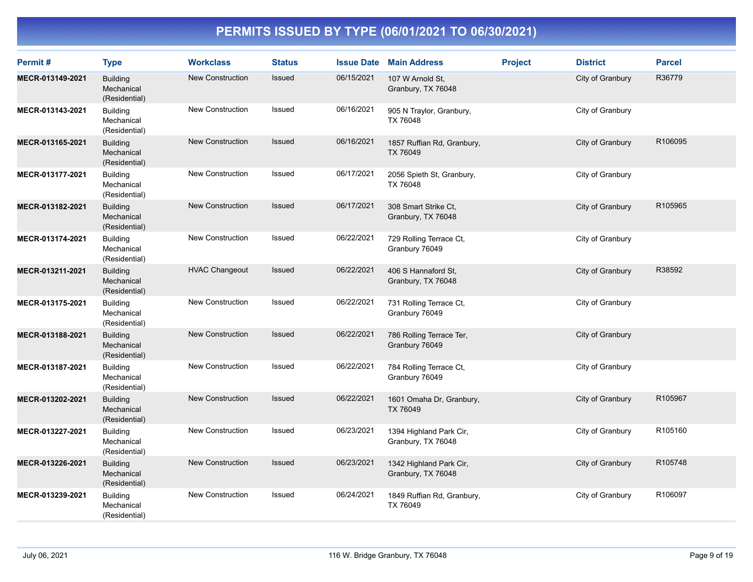| Permit#          | <b>Type</b>                                    | <b>Workclass</b>        | <b>Status</b> | <b>Issue Date</b> | <b>Main Address</b>                           | <b>Project</b> | <b>District</b>  | <b>Parcel</b>       |
|------------------|------------------------------------------------|-------------------------|---------------|-------------------|-----------------------------------------------|----------------|------------------|---------------------|
| MECR-013149-2021 | <b>Building</b><br>Mechanical<br>(Residential) | <b>New Construction</b> | Issued        | 06/15/2021        | 107 W Arnold St,<br>Granbury, TX 76048        |                | City of Granbury | R36779              |
| MECR-013143-2021 | <b>Building</b><br>Mechanical<br>(Residential) | <b>New Construction</b> | Issued        | 06/16/2021        | 905 N Traylor, Granbury,<br>TX 76048          |                | City of Granbury |                     |
| MECR-013165-2021 | <b>Building</b><br>Mechanical<br>(Residential) | <b>New Construction</b> | <b>Issued</b> | 06/16/2021        | 1857 Ruffian Rd, Granbury,<br><b>TX 76049</b> |                | City of Granbury | R106095             |
| MECR-013177-2021 | <b>Building</b><br>Mechanical<br>(Residential) | <b>New Construction</b> | Issued        | 06/17/2021        | 2056 Spieth St, Granbury,<br>TX 76048         |                | City of Granbury |                     |
| MECR-013182-2021 | <b>Building</b><br>Mechanical<br>(Residential) | New Construction        | Issued        | 06/17/2021        | 308 Smart Strike Ct.<br>Granbury, TX 76048    |                | City of Granbury | R105965             |
| MECR-013174-2021 | <b>Building</b><br>Mechanical<br>(Residential) | <b>New Construction</b> | Issued        | 06/22/2021        | 729 Rolling Terrace Ct,<br>Granbury 76049     |                | City of Granbury |                     |
| MECR-013211-2021 | <b>Building</b><br>Mechanical<br>(Residential) | <b>HVAC Changeout</b>   | Issued        | 06/22/2021        | 406 S Hannaford St.<br>Granbury, TX 76048     |                | City of Granbury | R38592              |
| MECR-013175-2021 | <b>Building</b><br>Mechanical<br>(Residential) | <b>New Construction</b> | Issued        | 06/22/2021        | 731 Rolling Terrace Ct,<br>Granbury 76049     |                | City of Granbury |                     |
| MECR-013188-2021 | <b>Building</b><br>Mechanical<br>(Residential) | <b>New Construction</b> | Issued        | 06/22/2021        | 786 Rolling Terrace Ter,<br>Granbury 76049    |                | City of Granbury |                     |
| MECR-013187-2021 | <b>Building</b><br>Mechanical<br>(Residential) | <b>New Construction</b> | Issued        | 06/22/2021        | 784 Rolling Terrace Ct,<br>Granbury 76049     |                | City of Granbury |                     |
| MECR-013202-2021 | <b>Building</b><br>Mechanical<br>(Residential) | <b>New Construction</b> | Issued        | 06/22/2021        | 1601 Omaha Dr, Granbury,<br>TX 76049          |                | City of Granbury | R105967             |
| MECR-013227-2021 | <b>Building</b><br>Mechanical<br>(Residential) | <b>New Construction</b> | Issued        | 06/23/2021        | 1394 Highland Park Cir,<br>Granbury, TX 76048 |                | City of Granbury | R <sub>105160</sub> |
| MECR-013226-2021 | <b>Building</b><br>Mechanical<br>(Residential) | <b>New Construction</b> | <b>Issued</b> | 06/23/2021        | 1342 Highland Park Cir,<br>Granbury, TX 76048 |                | City of Granbury | R105748             |
| MECR-013239-2021 | <b>Building</b><br>Mechanical<br>(Residential) | <b>New Construction</b> | Issued        | 06/24/2021        | 1849 Ruffian Rd, Granbury,<br>TX 76049        |                | City of Granbury | R106097             |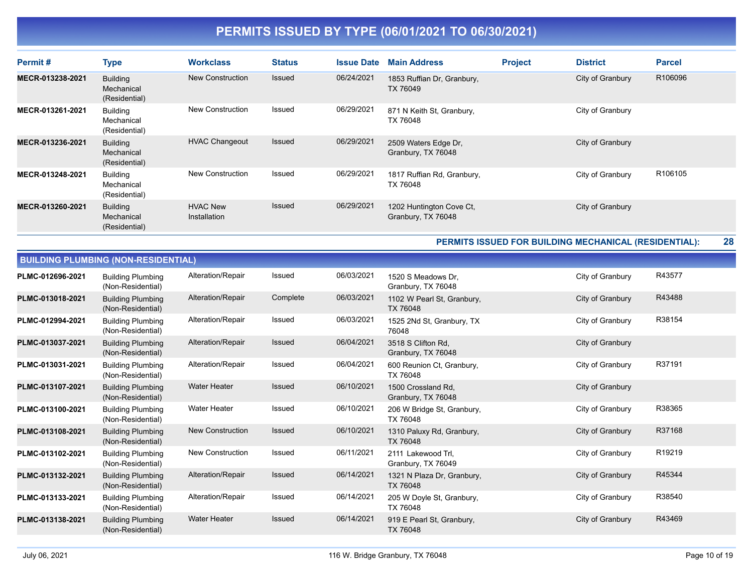| Permit#          | <b>Type</b>                                    | <b>Workclass</b>                | <b>Status</b> | <b>Issue Date</b> | <b>Main Address</b>                            | <b>Project</b> | <b>District</b>  | <b>Parcel</b>       |
|------------------|------------------------------------------------|---------------------------------|---------------|-------------------|------------------------------------------------|----------------|------------------|---------------------|
| MECR-013238-2021 | <b>Building</b><br>Mechanical<br>(Residential) | New Construction                | <b>Issued</b> | 06/24/2021        | 1853 Ruffian Dr, Granbury,<br>TX 76049         |                | City of Granbury | R106096             |
| MECR-013261-2021 | Building<br>Mechanical<br>(Residential)        | New Construction                | Issued        | 06/29/2021        | 871 N Keith St, Granbury,<br>TX 76048          |                | City of Granbury |                     |
| MECR-013236-2021 | <b>Building</b><br>Mechanical<br>(Residential) | <b>HVAC Changeout</b>           | Issued        | 06/29/2021        | 2509 Waters Edge Dr,<br>Granbury, TX 76048     |                | City of Granbury |                     |
| MECR-013248-2021 | Building<br>Mechanical<br>(Residential)        | New Construction                | Issued        | 06/29/2021        | 1817 Ruffian Rd, Granbury,<br>TX 76048         |                | City of Granbury | R <sub>106105</sub> |
| MECR-013260-2021 | Building<br>Mechanical<br>(Residential)        | <b>HVAC New</b><br>Installation | <b>Issued</b> | 06/29/2021        | 1202 Huntington Cove Ct,<br>Granbury, TX 76048 |                | City of Granbury |                     |

**PERMITS ISSUED FOR BUILDING MECHANICAL (RESIDENTIAL): 28**

|                  | <b>BUILDING PLUMBING (NON-RESIDENTIAL)</b>    |                         |               |            |                                          |                  |        |  |  |  |  |
|------------------|-----------------------------------------------|-------------------------|---------------|------------|------------------------------------------|------------------|--------|--|--|--|--|
| PLMC-012696-2021 | <b>Building Plumbing</b><br>(Non-Residential) | Alteration/Repair       | Issued        | 06/03/2021 | 1520 S Meadows Dr.<br>Granbury, TX 76048 | City of Granbury | R43577 |  |  |  |  |
| PLMC-013018-2021 | <b>Building Plumbing</b><br>(Non-Residential) | Alteration/Repair       | Complete      | 06/03/2021 | 1102 W Pearl St, Granbury,<br>TX 76048   | City of Granbury | R43488 |  |  |  |  |
| PLMC-012994-2021 | <b>Building Plumbing</b><br>(Non-Residential) | Alteration/Repair       | Issued        | 06/03/2021 | 1525 2Nd St, Granbury, TX<br>76048       | City of Granbury | R38154 |  |  |  |  |
| PLMC-013037-2021 | <b>Building Plumbing</b><br>(Non-Residential) | Alteration/Repair       | <b>Issued</b> | 06/04/2021 | 3518 S Clifton Rd.<br>Granbury, TX 76048 | City of Granbury |        |  |  |  |  |
| PLMC-013031-2021 | <b>Building Plumbing</b><br>(Non-Residential) | Alteration/Repair       | Issued        | 06/04/2021 | 600 Reunion Ct, Granbury,<br>TX 76048    | City of Granbury | R37191 |  |  |  |  |
| PLMC-013107-2021 | <b>Building Plumbing</b><br>(Non-Residential) | <b>Water Heater</b>     | Issued        | 06/10/2021 | 1500 Crossland Rd,<br>Granbury, TX 76048 | City of Granbury |        |  |  |  |  |
| PLMC-013100-2021 | <b>Building Plumbing</b><br>(Non-Residential) | <b>Water Heater</b>     | Issued        | 06/10/2021 | 206 W Bridge St, Granbury,<br>TX 76048   | City of Granbury | R38365 |  |  |  |  |
| PLMC-013108-2021 | <b>Building Plumbing</b><br>(Non-Residential) | <b>New Construction</b> | Issued        | 06/10/2021 | 1310 Paluxy Rd, Granbury,<br>TX 76048    | City of Granbury | R37168 |  |  |  |  |
| PLMC-013102-2021 | <b>Building Plumbing</b><br>(Non-Residential) | <b>New Construction</b> | Issued        | 06/11/2021 | 2111 Lakewood Trl,<br>Granbury, TX 76049 | City of Granbury | R19219 |  |  |  |  |
| PLMC-013132-2021 | <b>Building Plumbing</b><br>(Non-Residential) | Alteration/Repair       | Issued        | 06/14/2021 | 1321 N Plaza Dr, Granbury,<br>TX 76048   | City of Granbury | R45344 |  |  |  |  |
| PLMC-013133-2021 | <b>Building Plumbing</b><br>(Non-Residential) | Alteration/Repair       | Issued        | 06/14/2021 | 205 W Doyle St, Granbury,<br>TX 76048    | City of Granbury | R38540 |  |  |  |  |
| PLMC-013138-2021 | <b>Building Plumbing</b><br>(Non-Residential) | <b>Water Heater</b>     | Issued        | 06/14/2021 | 919 E Pearl St, Granbury,<br>TX 76048    | City of Granbury | R43469 |  |  |  |  |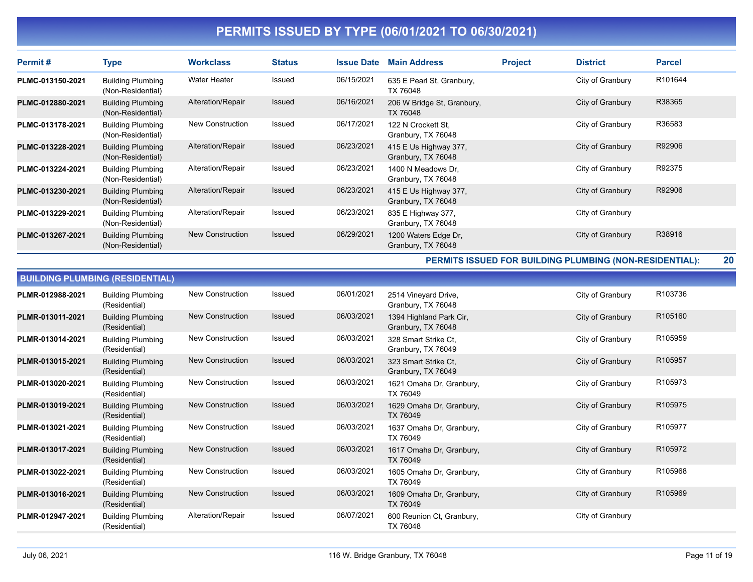| Permit#          | Type                                          | <b>Workclass</b>  | <b>Status</b> | <b>Issue Date</b> | <b>Main Address</b>                         | <b>Project</b> | <b>District</b>  | <b>Parcel</b> |
|------------------|-----------------------------------------------|-------------------|---------------|-------------------|---------------------------------------------|----------------|------------------|---------------|
| PLMC-013150-2021 | <b>Building Plumbing</b><br>(Non-Residential) | Water Heater      | Issued        | 06/15/2021        | 635 E Pearl St, Granbury,<br>TX 76048       |                | City of Granbury | R101644       |
| PLMC-012880-2021 | <b>Building Plumbing</b><br>(Non-Residential) | Alteration/Repair | Issued        | 06/16/2021        | 206 W Bridge St, Granbury,<br>TX 76048      |                | City of Granbury | R38365        |
| PLMC-013178-2021 | <b>Building Plumbing</b><br>(Non-Residential) | New Construction  | Issued        | 06/17/2021        | 122 N Crockett St.<br>Granbury, TX 76048    |                | City of Granbury | R36583        |
| PLMC-013228-2021 | <b>Building Plumbing</b><br>(Non-Residential) | Alteration/Repair | Issued        | 06/23/2021        | 415 E Us Highway 377,<br>Granbury, TX 76048 |                | City of Granbury | R92906        |
| PLMC-013224-2021 | <b>Building Plumbing</b><br>(Non-Residential) | Alteration/Repair | Issued        | 06/23/2021        | 1400 N Meadows Dr.<br>Granbury, TX 76048    |                | City of Granbury | R92375        |
| PLMC-013230-2021 | <b>Building Plumbing</b><br>(Non-Residential) | Alteration/Repair | Issued        | 06/23/2021        | 415 E Us Highway 377,<br>Granbury, TX 76048 |                | City of Granbury | R92906        |
| PLMC-013229-2021 | <b>Building Plumbing</b><br>(Non-Residential) | Alteration/Repair | Issued        | 06/23/2021        | 835 E Highway 377,<br>Granbury, TX 76048    |                | City of Granbury |               |
| PLMC-013267-2021 | <b>Building Plumbing</b><br>(Non-Residential) | New Construction  | Issued        | 06/29/2021        | 1200 Waters Edge Dr,<br>Granbury, TX 76048  |                | City of Granbury | R38916        |

**PERMITS ISSUED FOR BUILDING PLUMBING (NON-RESIDENTIAL): 20**

|                  | <b>BUILDING PLUMBING (RESIDENTIAL)</b>    |                         |               |            |                                               |                  |         |  |  |  |  |
|------------------|-------------------------------------------|-------------------------|---------------|------------|-----------------------------------------------|------------------|---------|--|--|--|--|
| PLMR-012988-2021 | <b>Building Plumbing</b><br>(Residential) | <b>New Construction</b> | <b>Issued</b> | 06/01/2021 | 2514 Vineyard Drive,<br>Granbury, TX 76048    | City of Granbury | R103736 |  |  |  |  |
| PLMR-013011-2021 | <b>Building Plumbing</b><br>(Residential) | <b>New Construction</b> | <b>Issued</b> | 06/03/2021 | 1394 Highland Park Cir,<br>Granbury, TX 76048 | City of Granbury | R105160 |  |  |  |  |
| PLMR-013014-2021 | <b>Building Plumbing</b><br>(Residential) | <b>New Construction</b> | Issued        | 06/03/2021 | 328 Smart Strike Ct.<br>Granbury, TX 76049    | City of Granbury | R105959 |  |  |  |  |
| PLMR-013015-2021 | <b>Building Plumbing</b><br>(Residential) | <b>New Construction</b> | <b>Issued</b> | 06/03/2021 | 323 Smart Strike Ct.<br>Granbury, TX 76049    | City of Granbury | R105957 |  |  |  |  |
| PLMR-013020-2021 | <b>Building Plumbing</b><br>(Residential) | New Construction        | Issued        | 06/03/2021 | 1621 Omaha Dr, Granbury,<br>TX 76049          | City of Granbury | R105973 |  |  |  |  |
| PLMR-013019-2021 | <b>Building Plumbing</b><br>(Residential) | <b>New Construction</b> | <b>Issued</b> | 06/03/2021 | 1629 Omaha Dr, Granbury,<br>TX 76049          | City of Granbury | R105975 |  |  |  |  |
| PLMR-013021-2021 | <b>Building Plumbing</b><br>(Residential) | <b>New Construction</b> | Issued        | 06/03/2021 | 1637 Omaha Dr, Granbury,<br>TX 76049          | City of Granbury | R105977 |  |  |  |  |
| PLMR-013017-2021 | <b>Building Plumbing</b><br>(Residential) | <b>New Construction</b> | Issued        | 06/03/2021 | 1617 Omaha Dr, Granbury,<br>TX 76049          | City of Granbury | R105972 |  |  |  |  |
| PLMR-013022-2021 | <b>Building Plumbing</b><br>(Residential) | <b>New Construction</b> | <b>Issued</b> | 06/03/2021 | 1605 Omaha Dr, Granbury,<br>TX 76049          | City of Granbury | R105968 |  |  |  |  |
| PLMR-013016-2021 | <b>Building Plumbing</b><br>(Residential) | New Construction        | <b>Issued</b> | 06/03/2021 | 1609 Omaha Dr, Granbury,<br>TX 76049          | City of Granbury | R105969 |  |  |  |  |
| PLMR-012947-2021 | <b>Building Plumbing</b><br>(Residential) | Alteration/Repair       | Issued        | 06/07/2021 | 600 Reunion Ct, Granbury,<br>TX 76048         | City of Granbury |         |  |  |  |  |

e<br>Bar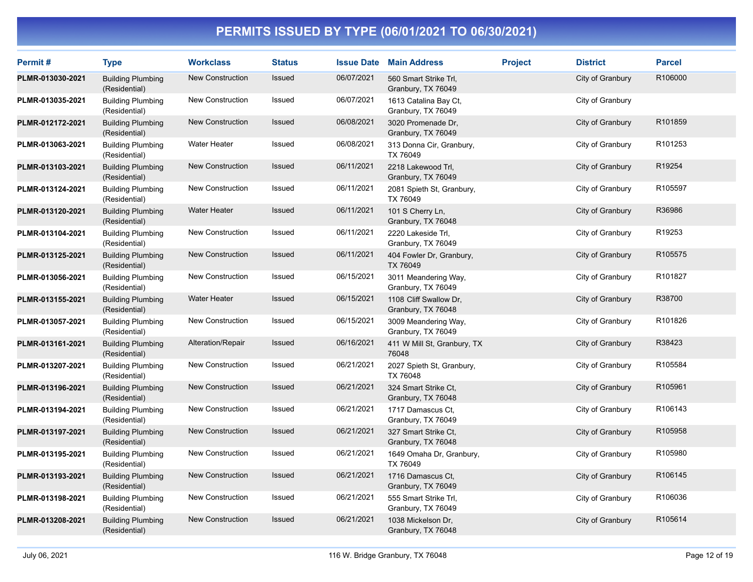| Permit#          | <b>Type</b>                               | <b>Workclass</b>        | <b>Status</b> | <b>Issue Date</b> | <b>Main Address</b>                          | <b>Project</b> | <b>District</b>  | <b>Parcel</b> |
|------------------|-------------------------------------------|-------------------------|---------------|-------------------|----------------------------------------------|----------------|------------------|---------------|
| PLMR-013030-2021 | <b>Building Plumbing</b><br>(Residential) | <b>New Construction</b> | Issued        | 06/07/2021        | 560 Smart Strike Trl,<br>Granbury, TX 76049  |                | City of Granbury | R106000       |
| PLMR-013035-2021 | <b>Building Plumbing</b><br>(Residential) | New Construction        | Issued        | 06/07/2021        | 1613 Catalina Bay Ct,<br>Granbury, TX 76049  |                | City of Granbury |               |
| PLMR-012172-2021 | <b>Building Plumbing</b><br>(Residential) | New Construction        | Issued        | 06/08/2021        | 3020 Promenade Dr,<br>Granbury, TX 76049     |                | City of Granbury | R101859       |
| PLMR-013063-2021 | <b>Building Plumbing</b><br>(Residential) | Water Heater            | Issued        | 06/08/2021        | 313 Donna Cir, Granbury,<br>TX 76049         |                | City of Granbury | R101253       |
| PLMR-013103-2021 | <b>Building Plumbing</b><br>(Residential) | <b>New Construction</b> | Issued        | 06/11/2021        | 2218 Lakewood Trl,<br>Granbury, TX 76049     |                | City of Granbury | R19254        |
| PLMR-013124-2021 | <b>Building Plumbing</b><br>(Residential) | New Construction        | Issued        | 06/11/2021        | 2081 Spieth St, Granbury,<br>TX 76049        |                | City of Granbury | R105597       |
| PLMR-013120-2021 | <b>Building Plumbing</b><br>(Residential) | <b>Water Heater</b>     | Issued        | 06/11/2021        | 101 S Cherry Ln,<br>Granbury, TX 76048       |                | City of Granbury | R36986        |
| PLMR-013104-2021 | <b>Building Plumbing</b><br>(Residential) | New Construction        | Issued        | 06/11/2021        | 2220 Lakeside Trl,<br>Granbury, TX 76049     |                | City of Granbury | R19253        |
| PLMR-013125-2021 | <b>Building Plumbing</b><br>(Residential) | New Construction        | Issued        | 06/11/2021        | 404 Fowler Dr, Granbury,<br>TX 76049         |                | City of Granbury | R105575       |
| PLMR-013056-2021 | <b>Building Plumbing</b><br>(Residential) | New Construction        | Issued        | 06/15/2021        | 3011 Meandering Way,<br>Granbury, TX 76049   |                | City of Granbury | R101827       |
| PLMR-013155-2021 | <b>Building Plumbing</b><br>(Residential) | <b>Water Heater</b>     | Issued        | 06/15/2021        | 1108 Cliff Swallow Dr,<br>Granbury, TX 76048 |                | City of Granbury | R38700        |
| PLMR-013057-2021 | <b>Building Plumbing</b><br>(Residential) | New Construction        | Issued        | 06/15/2021        | 3009 Meandering Way,<br>Granbury, TX 76049   |                | City of Granbury | R101826       |
| PLMR-013161-2021 | <b>Building Plumbing</b><br>(Residential) | Alteration/Repair       | Issued        | 06/16/2021        | 411 W Mill St, Granbury, TX<br>76048         |                | City of Granbury | R38423        |
| PLMR-013207-2021 | <b>Building Plumbing</b><br>(Residential) | New Construction        | Issued        | 06/21/2021        | 2027 Spieth St, Granbury,<br>TX 76048        |                | City of Granbury | R105584       |
| PLMR-013196-2021 | <b>Building Plumbing</b><br>(Residential) | New Construction        | Issued        | 06/21/2021        | 324 Smart Strike Ct,<br>Granbury, TX 76048   |                | City of Granbury | R105961       |
| PLMR-013194-2021 | <b>Building Plumbing</b><br>(Residential) | New Construction        | Issued        | 06/21/2021        | 1717 Damascus Ct.<br>Granbury, TX 76049      |                | City of Granbury | R106143       |
| PLMR-013197-2021 | <b>Building Plumbing</b><br>(Residential) | <b>New Construction</b> | Issued        | 06/21/2021        | 327 Smart Strike Ct,<br>Granbury, TX 76048   |                | City of Granbury | R105958       |
| PLMR-013195-2021 | <b>Building Plumbing</b><br>(Residential) | New Construction        | Issued        | 06/21/2021        | 1649 Omaha Dr, Granbury,<br>TX 76049         |                | City of Granbury | R105980       |
| PLMR-013193-2021 | <b>Building Plumbing</b><br>(Residential) | <b>New Construction</b> | Issued        | 06/21/2021        | 1716 Damascus Ct.<br>Granbury, TX 76049      |                | City of Granbury | R106145       |
| PLMR-013198-2021 | <b>Building Plumbing</b><br>(Residential) | New Construction        | Issued        | 06/21/2021        | 555 Smart Strike Trl,<br>Granbury, TX 76049  |                | City of Granbury | R106036       |
| PLMR-013208-2021 | <b>Building Plumbing</b><br>(Residential) | New Construction        | <b>Issued</b> | 06/21/2021        | 1038 Mickelson Dr,<br>Granbury, TX 76048     |                | City of Granbury | R105614       |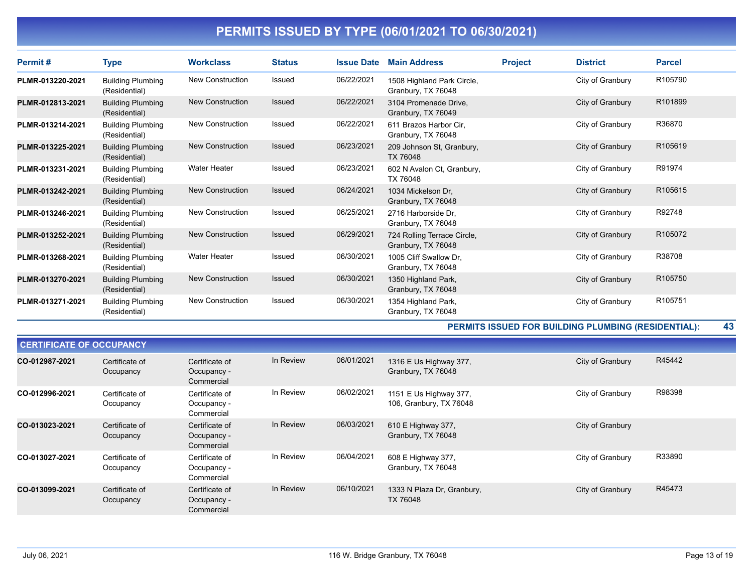| Permit#          | Type                                      | <b>Workclass</b>        | <b>Status</b> | <b>Issue Date</b> | <b>Main Address</b>                               | <b>Project</b> | <b>District</b>  | <b>Parcel</b> |
|------------------|-------------------------------------------|-------------------------|---------------|-------------------|---------------------------------------------------|----------------|------------------|---------------|
| PLMR-013220-2021 | <b>Building Plumbing</b><br>(Residential) | New Construction        | Issued        | 06/22/2021        | 1508 Highland Park Circle,<br>Granbury, TX 76048  |                | City of Granbury | R105790       |
| PLMR-012813-2021 | <b>Building Plumbing</b><br>(Residential) | New Construction        | <b>Issued</b> | 06/22/2021        | 3104 Promenade Drive,<br>Granbury, TX 76049       |                | City of Granbury | R101899       |
| PLMR-013214-2021 | <b>Building Plumbing</b><br>(Residential) | <b>New Construction</b> | Issued        | 06/22/2021        | 611 Brazos Harbor Cir.<br>Granbury, TX 76048      |                | City of Granbury | R36870        |
| PLMR-013225-2021 | <b>Building Plumbing</b><br>(Residential) | <b>New Construction</b> | Issued        | 06/23/2021        | 209 Johnson St, Granbury,<br>TX 76048             |                | City of Granbury | R105619       |
| PLMR-013231-2021 | <b>Building Plumbing</b><br>(Residential) | <b>Water Heater</b>     | Issued        | 06/23/2021        | 602 N Avalon Ct, Granbury,<br>TX 76048            |                | City of Granbury | R91974        |
| PLMR-013242-2021 | <b>Building Plumbing</b><br>(Residential) | <b>New Construction</b> | Issued        | 06/24/2021        | 1034 Mickelson Dr.<br>Granbury, TX 76048          |                | City of Granbury | R105615       |
| PLMR-013246-2021 | <b>Building Plumbing</b><br>(Residential) | <b>New Construction</b> | Issued        | 06/25/2021        | 2716 Harborside Dr.<br>Granbury, TX 76048         |                | City of Granbury | R92748        |
| PLMR-013252-2021 | <b>Building Plumbing</b><br>(Residential) | <b>New Construction</b> | <b>Issued</b> | 06/29/2021        | 724 Rolling Terrace Circle,<br>Granbury, TX 76048 |                | City of Granbury | R105072       |
| PLMR-013268-2021 | <b>Building Plumbing</b><br>(Residential) | <b>Water Heater</b>     | Issued        | 06/30/2021        | 1005 Cliff Swallow Dr.<br>Granbury, TX 76048      |                | City of Granbury | R38708        |
| PLMR-013270-2021 | <b>Building Plumbing</b><br>(Residential) | <b>New Construction</b> | <b>Issued</b> | 06/30/2021        | 1350 Highland Park,<br>Granbury, TX 76048         |                | City of Granbury | R105750       |
| PLMR-013271-2021 | <b>Building Plumbing</b><br>(Residential) | <b>New Construction</b> | Issued        | 06/30/2021        | 1354 Highland Park,<br>Granbury, TX 76048         |                | City of Granbury | R105751       |

**PERMITS ISSUED FOR BUILDING PLUMBING (RESIDENTIAL): 43**

|                | <b>CERTIFICATE OF OCCUPANCY</b> |                                             |           |            |                                                   |                  |        |  |  |  |  |
|----------------|---------------------------------|---------------------------------------------|-----------|------------|---------------------------------------------------|------------------|--------|--|--|--|--|
| CO-012987-2021 | Certificate of<br>Occupancy     | Certificate of<br>Occupancy -<br>Commercial | In Review | 06/01/2021 | 1316 E Us Highway 377,<br>Granbury, TX 76048      | City of Granbury | R45442 |  |  |  |  |
| CO-012996-2021 | Certificate of<br>Occupancy     | Certificate of<br>Occupancy -<br>Commercial | In Review | 06/02/2021 | 1151 E Us Highway 377,<br>106, Granbury, TX 76048 | City of Granbury | R98398 |  |  |  |  |
| CO-013023-2021 | Certificate of<br>Occupancy     | Certificate of<br>Occupancy -<br>Commercial | In Review | 06/03/2021 | 610 E Highway 377,<br>Granbury, TX 76048          | City of Granbury |        |  |  |  |  |
| CO-013027-2021 | Certificate of<br>Occupancy     | Certificate of<br>Occupancy -<br>Commercial | In Review | 06/04/2021 | 608 E Highway 377,<br>Granbury, TX 76048          | City of Granbury | R33890 |  |  |  |  |
| CO-013099-2021 | Certificate of<br>Occupancy     | Certificate of<br>Occupancy -<br>Commercial | In Review | 06/10/2021 | 1333 N Plaza Dr, Granbury,<br>TX 76048            | City of Granbury | R45473 |  |  |  |  |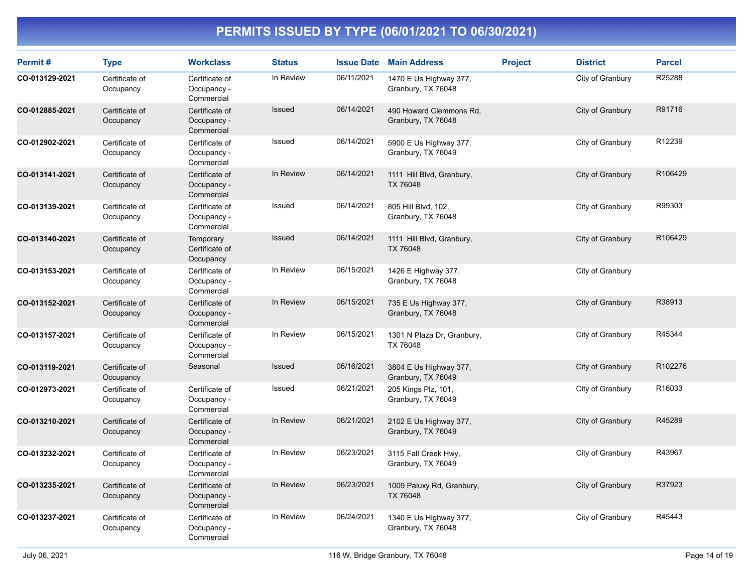| Permit#        | <b>Type</b>                 | <b>Workclass</b>                            | <b>Status</b> |            | <b>Issue Date Main Address</b>                | <b>Project</b> | <b>District</b>  | <b>Parcel</b> |
|----------------|-----------------------------|---------------------------------------------|---------------|------------|-----------------------------------------------|----------------|------------------|---------------|
| CO-013129-2021 | Certificate of<br>Occupancy | Certificate of<br>Occupancy -<br>Commercial | In Review     | 06/11/2021 | 1470 E Us Highway 377,<br>Granbury, TX 76048  |                | City of Granbury | R25288        |
| CO-012885-2021 | Certificate of<br>Occupancy | Certificate of<br>Occupancy -<br>Commercial | <b>Issued</b> | 06/14/2021 | 490 Howard Clemmons Rd,<br>Granbury, TX 76048 |                | City of Granbury | R91716        |
| CO-012902-2021 | Certificate of<br>Occupancy | Certificate of<br>Occupancy -<br>Commercial | Issued        | 06/14/2021 | 5900 E Us Highway 377,<br>Granbury, TX 76049  |                | City of Granbury | R12239        |
| CO-013141-2021 | Certificate of<br>Occupancy | Certificate of<br>Occupancy -<br>Commercial | In Review     | 06/14/2021 | 1111 Hill Blvd, Granbury,<br>TX 76048         |                | City of Granbury | R106429       |
| CO-013139-2021 | Certificate of<br>Occupancy | Certificate of<br>Occupancy -<br>Commercial | Issued        | 06/14/2021 | 805 Hill Blvd, 102,<br>Granbury, TX 76048     |                | City of Granbury | R99303        |
| CO-013140-2021 | Certificate of<br>Occupancy | Temporary<br>Certificate of<br>Occupancy    | Issued        | 06/14/2021 | 1111 Hill Blvd, Granbury,<br>TX 76048         |                | City of Granbury | R106429       |
| CO-013153-2021 | Certificate of<br>Occupancy | Certificate of<br>Occupancy -<br>Commercial | In Review     | 06/15/2021 | 1426 E Highway 377,<br>Granbury, TX 76048     |                | City of Granbury |               |
| CO-013152-2021 | Certificate of<br>Occupancy | Certificate of<br>Occupancy -<br>Commercial | In Review     | 06/15/2021 | 735 E Us Highway 377,<br>Granbury, TX 76048   |                | City of Granbury | R38913        |
| CO-013157-2021 | Certificate of<br>Occupancy | Certificate of<br>Occupancy -<br>Commercial | In Review     | 06/15/2021 | 1301 N Plaza Dr, Granbury,<br>TX 76048        |                | City of Granbury | R45344        |
| CO-013119-2021 | Certificate of<br>Occupancy | Seasonal                                    | Issued        | 06/16/2021 | 3804 E Us Highway 377,<br>Granbury, TX 76049  |                | City of Granbury | R102276       |
| CO-012973-2021 | Certificate of<br>Occupancy | Certificate of<br>Occupancy -<br>Commercial | Issued        | 06/21/2021 | 205 Kings Plz, 101,<br>Granbury, TX 76049     |                | City of Granbury | R16033        |
| CO-013210-2021 | Certificate of<br>Occupancy | Certificate of<br>Occupancy -<br>Commercial | In Review     | 06/21/2021 | 2102 E Us Highway 377,<br>Granbury, TX 76049  |                | City of Granbury | R45289        |
| CO-013232-2021 | Certificate of<br>Occupancy | Certificate of<br>Occupancy -<br>Commercial | In Review     | 06/23/2021 | 3115 Fall Creek Hwy,<br>Granbury, TX 76049    |                | City of Granbury | R43967        |
| CO-013235-2021 | Certificate of<br>Occupancy | Certificate of<br>Occupancy -<br>Commercial | In Review     | 06/23/2021 | 1009 Paluxy Rd, Granbury,<br>TX 76048         |                | City of Granbury | R37923        |
| CO-013237-2021 | Certificate of<br>Occupancy | Certificate of<br>Occupancy -<br>Commercial | In Review     | 06/24/2021 | 1340 E Us Highway 377,<br>Granbury, TX 76048  |                | City of Granbury | R45443        |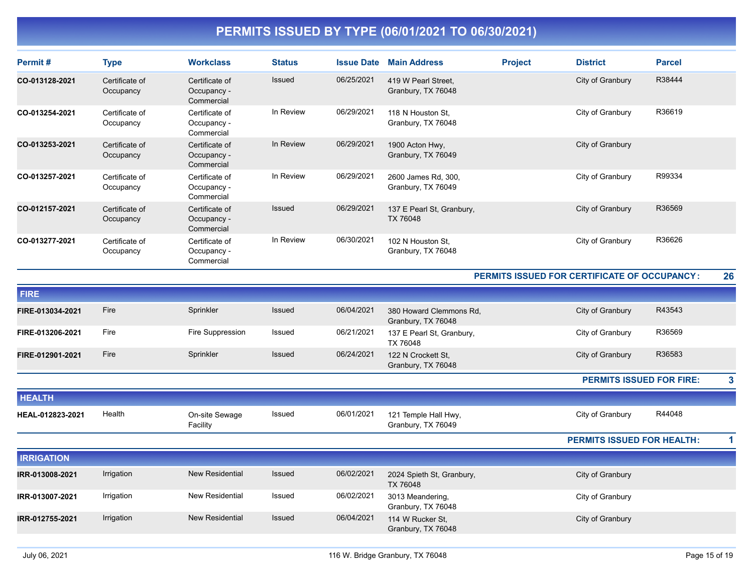| Permit#           | <b>Type</b>                 | <b>Workclass</b>                            | <b>Status</b> | <b>Issue Date</b> | <b>Main Address</b>                           | <b>Project</b> | <b>District</b>                              | <b>Parcel</b> |    |
|-------------------|-----------------------------|---------------------------------------------|---------------|-------------------|-----------------------------------------------|----------------|----------------------------------------------|---------------|----|
| CO-013128-2021    | Certificate of<br>Occupancy | Certificate of<br>Occupancy -<br>Commercial | <b>Issued</b> | 06/25/2021        | 419 W Pearl Street,<br>Granbury, TX 76048     |                | City of Granbury                             | R38444        |    |
| CO-013254-2021    | Certificate of<br>Occupancy | Certificate of<br>Occupancy -<br>Commercial | In Review     | 06/29/2021        | 118 N Houston St.<br>Granbury, TX 76048       |                | City of Granbury                             | R36619        |    |
| CO-013253-2021    | Certificate of<br>Occupancy | Certificate of<br>Occupancy -<br>Commercial | In Review     | 06/29/2021        | 1900 Acton Hwy,<br>Granbury, TX 76049         |                | City of Granbury                             |               |    |
| CO-013257-2021    | Certificate of<br>Occupancy | Certificate of<br>Occupancy -<br>Commercial | In Review     | 06/29/2021        | 2600 James Rd, 300,<br>Granbury, TX 76049     |                | City of Granbury                             | R99334        |    |
| CO-012157-2021    | Certificate of<br>Occupancy | Certificate of<br>Occupancy -<br>Commercial | Issued        | 06/29/2021        | 137 E Pearl St, Granbury,<br>TX 76048         |                | City of Granbury                             | R36569        |    |
| CO-013277-2021    | Certificate of<br>Occupancy | Certificate of<br>Occupancy -<br>Commercial | In Review     | 06/30/2021        | 102 N Houston St,<br>Granbury, TX 76048       |                | City of Granbury                             | R36626        |    |
|                   |                             |                                             |               |                   |                                               |                | PERMITS ISSUED FOR CERTIFICATE OF OCCUPANCY: |               | 26 |
| <b>FIRE</b>       |                             |                                             |               |                   |                                               |                |                                              |               |    |
| FIRE-013034-2021  | Fire                        | Sprinkler                                   | Issued        | 06/04/2021        | 380 Howard Clemmons Rd,<br>Granbury, TX 76048 |                | City of Granbury                             | R43543        |    |
| FIRE-013206-2021  | Fire                        | Fire Suppression                            | Issued        | 06/21/2021        | 137 E Pearl St, Granbury,<br>TX 76048         |                | City of Granbury                             | R36569        |    |
| FIRE-012901-2021  | Fire                        | Sprinkler                                   | Issued        | 06/24/2021        | 122 N Crockett St,<br>Granbury, TX 76048      |                | City of Granbury                             | R36583        |    |
|                   |                             |                                             |               |                   |                                               |                | <b>PERMITS ISSUED FOR FIRE:</b>              |               | 3  |
| <b>HEALTH</b>     |                             |                                             |               |                   |                                               |                |                                              |               |    |
| HEAL-012823-2021  | Health                      | On-site Sewage<br>Facility                  | Issued        | 06/01/2021        | 121 Temple Hall Hwy,<br>Granbury, TX 76049    |                | City of Granbury                             | R44048        |    |
|                   |                             |                                             |               |                   |                                               |                | <b>PERMITS ISSUED FOR HEALTH:</b>            |               | 1  |
| <b>IRRIGATION</b> |                             |                                             |               |                   |                                               |                |                                              |               |    |
| IRR-013008-2021   | Irrigation                  | <b>New Residential</b>                      | Issued        | 06/02/2021        | 2024 Spieth St, Granbury,<br>TX 76048         |                | City of Granbury                             |               |    |
| IRR-013007-2021   | Irrigation                  | <b>New Residential</b>                      | Issued        | 06/02/2021        | 3013 Meandering,<br>Granbury, TX 76048        |                | City of Granbury                             |               |    |
| IRR-012755-2021   | Irrigation                  | <b>New Residential</b>                      | Issued        | 06/04/2021        | 114 W Rucker St.<br>Granbury, TX 76048        |                | City of Granbury                             |               |    |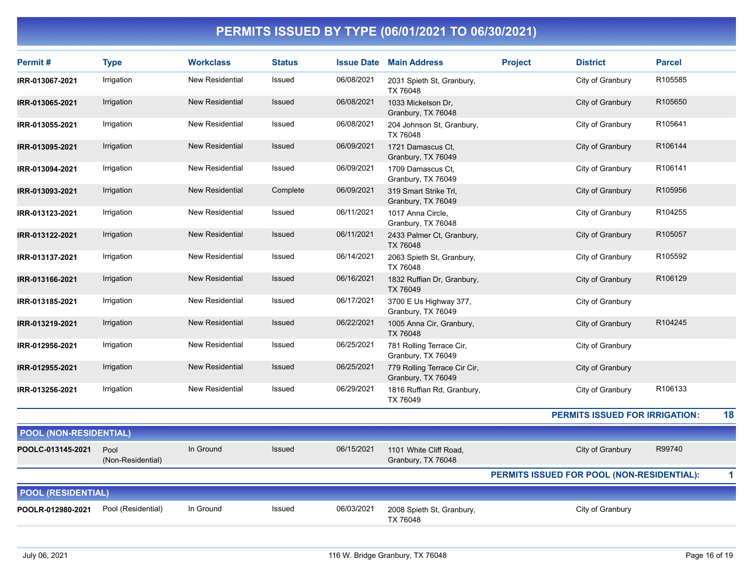| Permit#                       | <b>Type</b>               | <b>Workclass</b>       | <b>Status</b> | <b>Issue Date</b> | <b>Main Address</b>                                | <b>Project</b> | <b>District</b>                            | <b>Parcel</b> |
|-------------------------------|---------------------------|------------------------|---------------|-------------------|----------------------------------------------------|----------------|--------------------------------------------|---------------|
| IRR-013067-2021               | Irrigation                | <b>New Residential</b> | Issued        | 06/08/2021        | 2031 Spieth St, Granbury,<br>TX 76048              |                | City of Granbury                           | R105585       |
| IRR-013065-2021               | Irrigation                | <b>New Residential</b> | Issued        | 06/08/2021        | 1033 Mickelson Dr,<br>Granbury, TX 76048           |                | City of Granbury                           | R105650       |
| IRR-013055-2021               | Irrigation                | <b>New Residential</b> | Issued        | 06/08/2021        | 204 Johnson St, Granbury,<br>TX 76048              |                | City of Granbury                           | R105641       |
| IRR-013095-2021               | Irrigation                | <b>New Residential</b> | Issued        | 06/09/2021        | 1721 Damascus Ct,<br>Granbury, TX 76049            |                | City of Granbury                           | R106144       |
| IRR-013094-2021               | Irrigation                | <b>New Residential</b> | Issued        | 06/09/2021        | 1709 Damascus Ct.<br>Granbury, TX 76049            |                | City of Granbury                           | R106141       |
| IRR-013093-2021               | Irrigation                | <b>New Residential</b> | Complete      | 06/09/2021        | 319 Smart Strike Trl.<br>Granbury, TX 76049        |                | City of Granbury                           | R105956       |
| IRR-013123-2021               | Irrigation                | <b>New Residential</b> | Issued        | 06/11/2021        | 1017 Anna Circle,<br>Granbury, TX 76048            |                | City of Granbury                           | R104255       |
| IRR-013122-2021               | Irrigation                | <b>New Residential</b> | Issued        | 06/11/2021        | 2433 Palmer Ct, Granbury,<br>TX 76048              |                | City of Granbury                           | R105057       |
| IRR-013137-2021               | Irrigation                | <b>New Residential</b> | Issued        | 06/14/2021        | 2063 Spieth St, Granbury,<br>TX 76048              |                | City of Granbury                           | R105592       |
| IRR-013166-2021               | Irrigation                | <b>New Residential</b> | Issued        | 06/16/2021        | 1832 Ruffian Dr, Granbury,<br>TX 76049             |                | City of Granbury                           | R106129       |
| IRR-013185-2021               | Irrigation                | New Residential        | Issued        | 06/17/2021        | 3700 E Us Highway 377,<br>Granbury, TX 76049       |                | City of Granbury                           |               |
| IRR-013219-2021               | Irrigation                | <b>New Residential</b> | Issued        | 06/22/2021        | 1005 Anna Cir, Granbury,<br>TX 76048               |                | City of Granbury                           | R104245       |
| IRR-012956-2021               | Irrigation                | <b>New Residential</b> | Issued        | 06/25/2021        | 781 Rolling Terrace Cir,<br>Granbury, TX 76049     |                | City of Granbury                           |               |
| IRR-012955-2021               | Irrigation                | <b>New Residential</b> | Issued        | 06/25/2021        | 779 Rolling Terrace Cir Cir,<br>Granbury, TX 76049 |                | City of Granbury                           |               |
| IRR-013256-2021               | Irrigation                | <b>New Residential</b> | Issued        | 06/29/2021        | 1816 Ruffian Rd, Granbury,<br>TX 76049             |                | City of Granbury                           | R106133       |
|                               |                           |                        |               |                   |                                                    |                | <b>PERMITS ISSUED FOR IRRIGATION:</b>      | 18            |
| <b>POOL (NON-RESIDENTIAL)</b> |                           |                        |               |                   |                                                    |                |                                            |               |
| POOLC-013145-2021             | Pool<br>(Non-Residential) | In Ground              | <b>Issued</b> | 06/15/2021        | 1101 White Cliff Road,<br>Granbury, TX 76048       |                | City of Granbury                           | R99740        |
|                               |                           |                        |               |                   |                                                    |                | PERMITS ISSUED FOR POOL (NON-RESIDENTIAL): | $\mathbf{1}$  |
| <b>POOL (RESIDENTIAL)</b>     |                           |                        |               |                   |                                                    |                |                                            |               |
| POOLR-012980-2021             | Pool (Residential)        | In Ground              | Issued        | 06/03/2021        | 2008 Spieth St, Granbury,<br>TX 76048              |                | City of Granbury                           |               |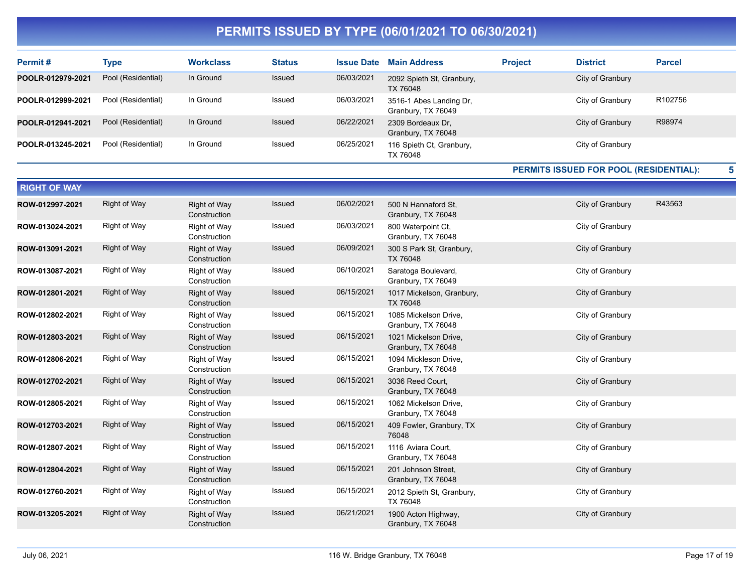| Permit#           | <b>Type</b>        | <b>Workclass</b> | <b>Status</b> | <b>Issue Date</b> | <b>Main Address</b>                           | <b>Project</b> | <b>District</b>  | <b>Parcel</b> |
|-------------------|--------------------|------------------|---------------|-------------------|-----------------------------------------------|----------------|------------------|---------------|
| POOLR-012979-2021 | Pool (Residential) | In Ground        | <b>Issued</b> | 06/03/2021        | 2092 Spieth St, Granbury,<br>TX 76048         |                | City of Granbury |               |
| POOLR-012999-2021 | Pool (Residential) | In Ground        | Issued        | 06/03/2021        | 3516-1 Abes Landing Dr,<br>Granbury, TX 76049 |                | City of Granbury | R102756       |
| POOLR-012941-2021 | Pool (Residential) | In Ground        | <b>Issued</b> | 06/22/2021        | 2309 Bordeaux Dr.<br>Granbury, TX 76048       |                | City of Granbury | R98974        |
| POOLR-013245-2021 | Pool (Residential) | In Ground        | Issued        | 06/25/2021        | 116 Spieth Ct, Granbury,<br>TX 76048          |                | City of Granbury |               |

#### **PERMITS ISSUED FOR POOL (RESIDENTIAL):**

| <b>RIGHT OF WAY</b> |                     |                                     |               |            |                                             |                  |        |
|---------------------|---------------------|-------------------------------------|---------------|------------|---------------------------------------------|------------------|--------|
| ROW-012997-2021     | <b>Right of Way</b> | <b>Right of Way</b><br>Construction | <b>Issued</b> | 06/02/2021 | 500 N Hannaford St.<br>Granbury, TX 76048   | City of Granbury | R43563 |
| ROW-013024-2021     | <b>Right of Way</b> | Right of Way<br>Construction        | Issued        | 06/03/2021 | 800 Waterpoint Ct.<br>Granbury, TX 76048    | City of Granbury |        |
| ROW-013091-2021     | <b>Right of Way</b> | <b>Right of Way</b><br>Construction | Issued        | 06/09/2021 | 300 S Park St, Granbury,<br>TX 76048        | City of Granbury |        |
| ROW-013087-2021     | Right of Way        | Right of Way<br>Construction        | Issued        | 06/10/2021 | Saratoga Boulevard,<br>Granbury, TX 76049   | City of Granbury |        |
| ROW-012801-2021     | <b>Right of Way</b> | <b>Right of Way</b><br>Construction | Issued        | 06/15/2021 | 1017 Mickelson, Granbury,<br>TX 76048       | City of Granbury |        |
| ROW-012802-2021     | Right of Way        | Right of Way<br>Construction        | Issued        | 06/15/2021 | 1085 Mickelson Drive,<br>Granbury, TX 76048 | City of Granbury |        |
| ROW-012803-2021     | <b>Right of Way</b> | <b>Right of Way</b><br>Construction | Issued        | 06/15/2021 | 1021 Mickelson Drive,<br>Granbury, TX 76048 | City of Granbury |        |
| ROW-012806-2021     | Right of Way        | Right of Way<br>Construction        | Issued        | 06/15/2021 | 1094 Mickleson Drive,<br>Granbury, TX 76048 | City of Granbury |        |
| ROW-012702-2021     | <b>Right of Way</b> | <b>Right of Way</b><br>Construction | Issued        | 06/15/2021 | 3036 Reed Court,<br>Granbury, TX 76048      | City of Granbury |        |
| ROW-012805-2021     | <b>Right of Way</b> | Right of Way<br>Construction        | Issued        | 06/15/2021 | 1062 Mickelson Drive.<br>Granbury, TX 76048 | City of Granbury |        |
| ROW-012703-2021     | <b>Right of Way</b> | <b>Right of Way</b><br>Construction | Issued        | 06/15/2021 | 409 Fowler, Granbury, TX<br>76048           | City of Granbury |        |
| ROW-012807-2021     | <b>Right of Way</b> | Right of Way<br>Construction        | Issued        | 06/15/2021 | 1116 Aviara Court,<br>Granbury, TX 76048    | City of Granbury |        |
| ROW-012804-2021     | <b>Right of Way</b> | <b>Right of Way</b><br>Construction | Issued        | 06/15/2021 | 201 Johnson Street,<br>Granbury, TX 76048   | City of Granbury |        |
| ROW-012760-2021     | Right of Way        | <b>Right of Way</b><br>Construction | Issued        | 06/15/2021 | 2012 Spieth St, Granbury,<br>TX 76048       | City of Granbury |        |
| ROW-013205-2021     | <b>Right of Way</b> | <b>Right of Way</b><br>Construction | Issued        | 06/21/2021 | 1900 Acton Highway,<br>Granbury, TX 76048   | City of Granbury |        |

**5**

 $\equiv$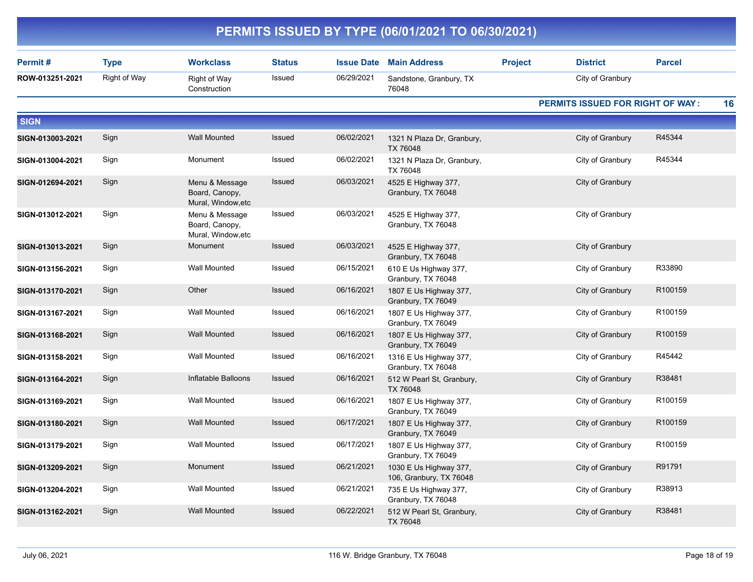|                  |              |                                                        |               |                   | PERMITS ISSUED BY TYPE (06/01/2021 TO 06/30/2021) |                |                                  |               |    |
|------------------|--------------|--------------------------------------------------------|---------------|-------------------|---------------------------------------------------|----------------|----------------------------------|---------------|----|
| Permit#          | <b>Type</b>  | <b>Workclass</b>                                       | <b>Status</b> | <b>Issue Date</b> | <b>Main Address</b>                               | <b>Project</b> | <b>District</b>                  | <b>Parcel</b> |    |
| ROW-013251-2021  | Right of Way | Right of Way<br>Construction                           | Issued        | 06/29/2021        | Sandstone, Granbury, TX<br>76048                  |                | City of Granbury                 |               |    |
|                  |              |                                                        |               |                   |                                                   |                | PERMITS ISSUED FOR RIGHT OF WAY: |               | 16 |
| <b>SIGN</b>      |              |                                                        |               |                   |                                                   |                |                                  |               |    |
| SIGN-013003-2021 | Sign         | <b>Wall Mounted</b>                                    | Issued        | 06/02/2021        | 1321 N Plaza Dr, Granbury,<br>TX 76048            |                | City of Granbury                 | R45344        |    |
| SIGN-013004-2021 | Sign         | Monument                                               | Issued        | 06/02/2021        | 1321 N Plaza Dr, Granbury,<br>TX 76048            |                | City of Granbury                 | R45344        |    |
| SIGN-012694-2021 | Sign         | Menu & Message<br>Board, Canopy,<br>Mural, Window, etc | <b>Issued</b> | 06/03/2021        | 4525 E Highway 377,<br>Granbury, TX 76048         |                | City of Granbury                 |               |    |
| SIGN-013012-2021 | Sign         | Menu & Message<br>Board, Canopy,<br>Mural, Window, etc | Issued        | 06/03/2021        | 4525 E Highway 377,<br>Granbury, TX 76048         |                | City of Granbury                 |               |    |
| SIGN-013013-2021 | Sign         | Monument                                               | <b>Issued</b> | 06/03/2021        | 4525 E Highway 377,<br>Granbury, TX 76048         |                | City of Granbury                 |               |    |
| SIGN-013156-2021 | Sign         | Wall Mounted                                           | Issued        | 06/15/2021        | 610 E Us Highway 377,<br>Granbury, TX 76048       |                | City of Granbury                 | R33890        |    |
| SIGN-013170-2021 | Sign         | Other                                                  | Issued        | 06/16/2021        | 1807 E Us Highway 377,<br>Granbury, TX 76049      |                | City of Granbury                 | R100159       |    |
| SIGN-013167-2021 | Sign         | Wall Mounted                                           | Issued        | 06/16/2021        | 1807 E Us Highway 377,<br>Granbury, TX 76049      |                | City of Granbury                 | R100159       |    |
| SIGN-013168-2021 | Sign         | <b>Wall Mounted</b>                                    | Issued        | 06/16/2021        | 1807 E Us Highway 377,<br>Granbury, TX 76049      |                | City of Granbury                 | R100159       |    |
| SIGN-013158-2021 | Sign         | <b>Wall Mounted</b>                                    | Issued        | 06/16/2021        | 1316 E Us Highway 377,<br>Granbury, TX 76048      |                | City of Granbury                 | R45442        |    |
| SIGN-013164-2021 | Sign         | Inflatable Balloons                                    | <b>Issued</b> | 06/16/2021        | 512 W Pearl St, Granbury,<br>TX 76048             |                | City of Granbury                 | R38481        |    |
| SIGN-013169-2021 | Sign         | Wall Mounted                                           | Issued        | 06/16/2021        | 1807 E Us Highway 377,<br>Granbury, TX 76049      |                | City of Granbury                 | R100159       |    |
| SIGN-013180-2021 | Sign         | <b>Wall Mounted</b>                                    | Issued        | 06/17/2021        | 1807 E Us Highway 377,<br>Granbury, TX 76049      |                | City of Granbury                 | R100159       |    |
| SIGN-013179-2021 | Sign         | Wall Mounted                                           | Issued        | 06/17/2021        | 1807 E Us Highway 377,<br>Granbury, TX 76049      |                | City of Granbury                 | R100159       |    |
| SIGN-013209-2021 | Sign         | Monument                                               | Issued        | 06/21/2021        | 1030 E Us Highway 377,<br>106, Granbury, TX 76048 |                | City of Granbury                 | R91791        |    |
| SIGN-013204-2021 | Sign         | Wall Mounted                                           | Issued        | 06/21/2021        | 735 E Us Highway 377,<br>Granbury, TX 76048       |                | City of Granbury                 | R38913        |    |
| SIGN-013162-2021 | Sign         | <b>Wall Mounted</b>                                    | Issued        | 06/22/2021        | 512 W Pearl St, Granbury,<br>TX 76048             |                | City of Granbury                 | R38481        |    |